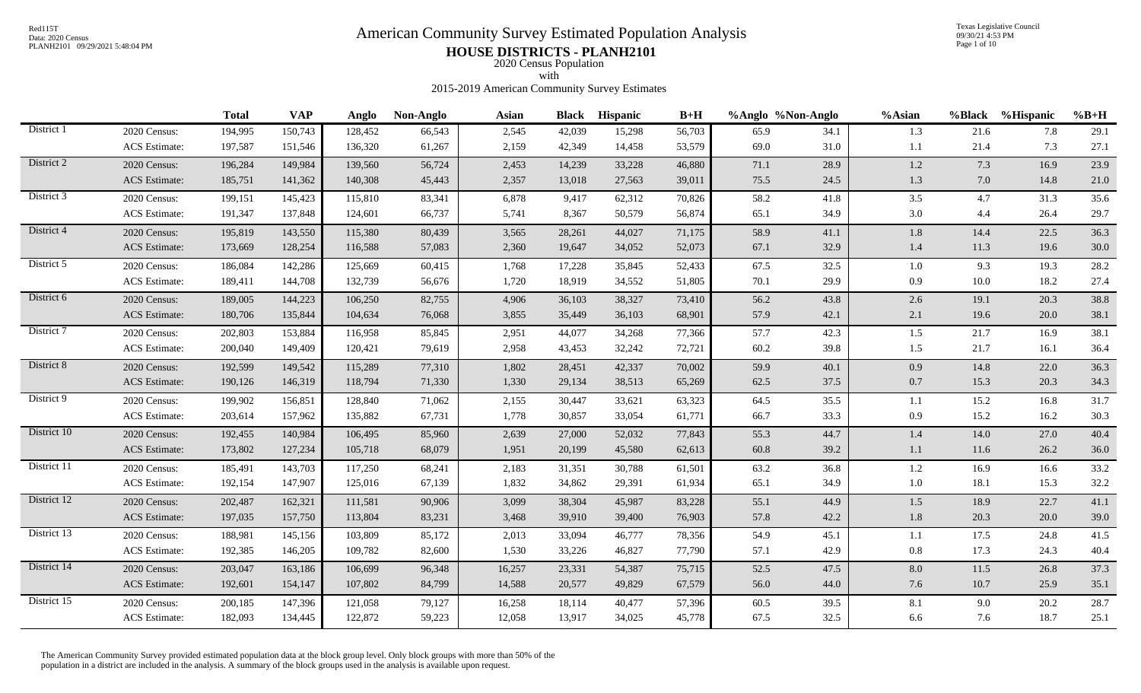# Red115T<br>Data: 2020 Census<br>PLANH2101 09/29/2021 5:48:04 PM<br>**American Community Survey Estimated Population Analysis**

Texas Legislative Council 09/30/21 4:53 PM Page 1 of 10

## PLANH2101 09/29/2021 5:48:04 PM **HOUSE DISTRICTS - PLANH2101** 2020 Census Population

with

2015-2019 American Community Survey Estimates

|             |                      | <b>Total</b> | <b>VAP</b> | Anglo   | Non-Anglo | <b>Asian</b> |        | <b>Black Hispanic</b> | $B+H$  |      | %Anglo %Non-Anglo | %Asian  | %Black  | %Hispanic | $%B+H$   |
|-------------|----------------------|--------------|------------|---------|-----------|--------------|--------|-----------------------|--------|------|-------------------|---------|---------|-----------|----------|
| District 1  | 2020 Census:         | 194,995      | 150,743    | 128,452 | 66,543    | 2,545        | 42,039 | 15,298                | 56,703 | 65.9 | 34.1              | 1.3     | 21.6    | 7.8       | 29.1     |
|             | ACS Estimate:        | 197,587      | 151,546    | 136,320 | 61,267    | 2,159        | 42,349 | 14,458                | 53,579 | 69.0 | 31.0              | 1.1     | 21.4    | 7.3       | 27.1     |
| District 2  | 2020 Census:         | 196,284      | 149,984    | 139,560 | 56,724    | 2,453        | 14,239 | 33,228                | 46,880 | 71.1 | 28.9              | 1.2     | 7.3     | 16.9      | 23.9     |
|             | <b>ACS</b> Estimate: | 185,751      | 141,362    | 140,308 | 45,443    | 2,357        | 13,018 | 27,563                | 39,011 | 75.5 | 24.5              | 1.3     | $7.0\,$ | 14.8      | $21.0\,$ |
| District 3  | 2020 Census:         | 199,151      | 145,423    | 115,810 | 83,341    | 6,878        | 9,417  | 62,312                | 70,826 | 58.2 | 41.8              | 3.5     | 4.7     | 31.3      | 35.6     |
|             | ACS Estimate:        | 191,347      | 137,848    | 124,601 | 66,737    | 5,741        | 8,367  | 50,579                | 56,874 | 65.1 | 34.9              | 3.0     | 4.4     | 26.4      | 29.7     |
| District 4  | 2020 Census:         | 195,819      | 143,550    | 115,380 | 80,439    | 3,565        | 28,261 | 44,027                | 71,175 | 58.9 | 41.1              | $1.8\,$ | 14.4    | 22.5      | 36.3     |
|             | <b>ACS</b> Estimate: | 173,669      | 128,254    | 116,588 | 57,083    | 2,360        | 19,647 | 34,052                | 52,073 | 67.1 | 32.9              | $1.4\,$ | 11.3    | 19.6      | $30.0\,$ |
| District 5  | 2020 Census:         | 186,084      | 142,286    | 125,669 | 60,415    | 1,768        | 17,228 | 35,845                | 52,433 | 67.5 | 32.5              | $1.0\,$ | 9.3     | 19.3      | 28.2     |
|             | <b>ACS</b> Estimate: | 189,411      | 144,708    | 132,739 | 56,676    | 1,720        | 18,919 | 34,552                | 51,805 | 70.1 | 29.9              | 0.9     | 10.0    | 18.2      | 27.4     |
| District 6  | 2020 Census:         | 189,005      | 144,223    | 106,250 | 82,755    | 4,906        | 36,103 | 38,327                | 73,410 | 56.2 | 43.8              | 2.6     | 19.1    | 20.3      | 38.8     |
|             | <b>ACS</b> Estimate: | 180,706      | 135,844    | 104,634 | 76,068    | 3,855        | 35,449 | 36,103                | 68,901 | 57.9 | 42.1              | 2.1     | 19.6    | 20.0      | 38.1     |
| District 7  | 2020 Census:         | 202,803      | 153,884    | 116,958 | 85,845    | 2,951        | 44,077 | 34,268                | 77,366 | 57.7 | 42.3              | 1.5     | 21.7    | 16.9      | 38.1     |
|             | <b>ACS</b> Estimate: | 200,040      | 149,409    | 120,421 | 79,619    | 2,958        | 43,453 | 32,242                | 72,721 | 60.2 | 39.8              | 1.5     | 21.7    | 16.1      | 36.4     |
| District 8  | 2020 Census:         | 192,599      | 149,542    | 115,289 | 77,310    | 1,802        | 28,451 | 42,337                | 70,002 | 59.9 | 40.1              | 0.9     | 14.8    | 22.0      | 36.3     |
|             | <b>ACS</b> Estimate: | 190,126      | 146,319    | 118,794 | 71,330    | 1,330        | 29,134 | 38,513                | 65,269 | 62.5 | 37.5              | $0.7\,$ | 15.3    | 20.3      | 34.3     |
| District 9  | 2020 Census:         | 199,902      | 156,851    | 128,840 | 71,062    | 2,155        | 30,447 | 33,621                | 63,323 | 64.5 | 35.5              | 1.1     | 15.2    | 16.8      | 31.7     |
|             | ACS Estimate:        | 203,614      | 157,962    | 135,882 | 67,731    | 1,778        | 30,857 | 33,054                | 61,771 | 66.7 | 33.3              | 0.9     | 15.2    | 16.2      | 30.3     |
| District 10 | 2020 Census:         | 192,455      | 140,984    | 106,495 | 85,960    | 2,639        | 27,000 | 52,032                | 77,843 | 55.3 | 44.7              | 1.4     | 14.0    | 27.0      | 40.4     |
|             | <b>ACS</b> Estimate: | 173,802      | 127,234    | 105,718 | 68,079    | 1,951        | 20,199 | 45,580                | 62,613 | 60.8 | 39.2              | 1.1     | 11.6    | 26.2      | 36.0     |
| District 11 | 2020 Census:         | 185,491      | 143,703    | 117,250 | 68,241    | 2,183        | 31,351 | 30,788                | 61,501 | 63.2 | 36.8              | 1.2     | 16.9    | 16.6      | 33.2     |
|             | <b>ACS</b> Estimate: | 192,154      | 147,907    | 125,016 | 67,139    | 1,832        | 34,862 | 29,391                | 61,934 | 65.1 | 34.9              | $1.0\,$ | 18.1    | 15.3      | 32.2     |
| District 12 | 2020 Census:         | 202,487      | 162,321    | 111,581 | 90,906    | 3,099        | 38,304 | 45,987                | 83,228 | 55.1 | 44.9              | 1.5     | 18.9    | 22.7      | 41.1     |
|             | <b>ACS</b> Estimate: | 197,035      | 157,750    | 113,804 | 83,231    | 3,468        | 39,910 | 39,400                | 76,903 | 57.8 | 42.2              | $1.8\,$ | 20.3    | 20.0      | 39.0     |
| District 13 | 2020 Census:         | 188,981      | 145,156    | 103,809 | 85,172    | 2,013        | 33,094 | 46,777                | 78,356 | 54.9 | 45.1              | 1.1     | 17.5    | 24.8      | 41.5     |
|             | <b>ACS</b> Estimate: | 192,385      | 146,205    | 109,782 | 82,600    | 1,530        | 33,226 | 46,827                | 77,790 | 57.1 | 42.9              | $0.8\,$ | 17.3    | 24.3      | 40.4     |
| District 14 | 2020 Census:         | 203,047      | 163,186    | 106,699 | 96,348    | 16,257       | 23,331 | 54,387                | 75,715 | 52.5 | 47.5              | 8.0     | 11.5    | 26.8      | 37.3     |
|             | <b>ACS</b> Estimate: | 192,601      | 154,147    | 107,802 | 84,799    | 14,588       | 20,577 | 49,829                | 67,579 | 56.0 | 44.0              | 7.6     | 10.7    | 25.9      | 35.1     |
| District 15 | 2020 Census:         | 200,185      | 147,396    | 121,058 | 79,127    | 16,258       | 18,114 | 40,477                | 57,396 | 60.5 | 39.5              | 8.1     | 9.0     | 20.2      | 28.7     |
|             | <b>ACS</b> Estimate: | 182,093      | 134,445    | 122,872 | 59,223    | 12,058       | 13,917 | 34,025                | 45,778 | 67.5 | 32.5              | 6.6     | 7.6     | 18.7      | 25.1     |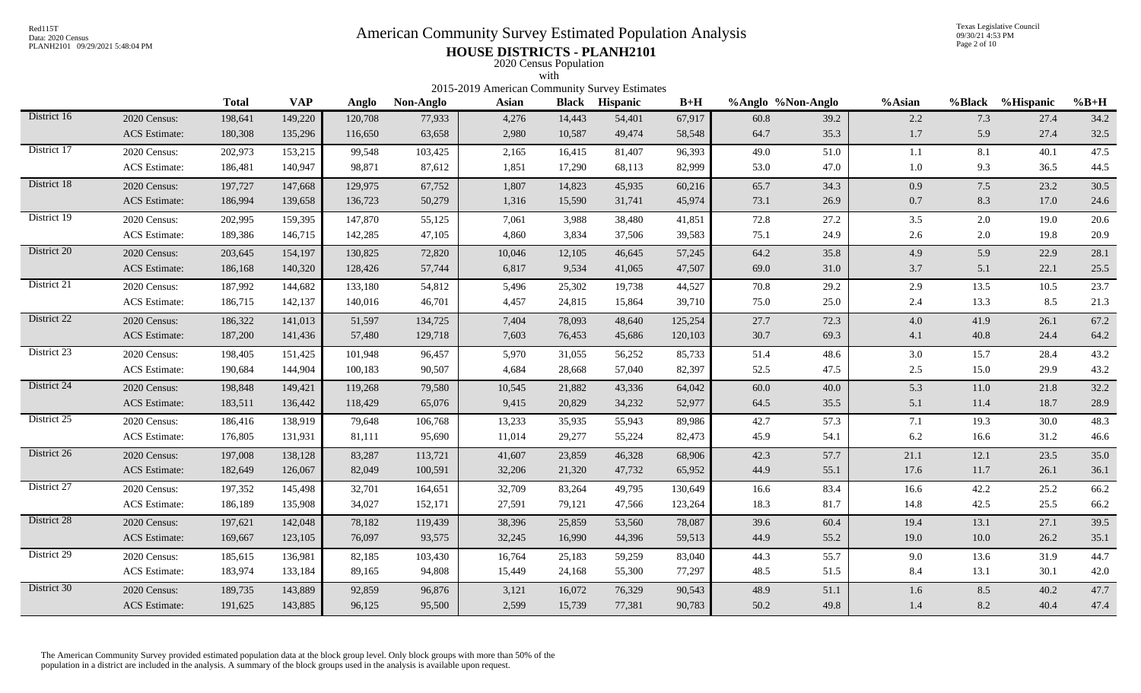# Red115T<br>Data: 2020 Census<br>PLANH2101 09/29/2021 5:48:04 PM<br>**American Community Survey Estimated Population Analysis**

Texas Legislative Council 09/30/21 4:53 PM Page 2 of 10

## PLANH2101 09/29/2021 5:48:04 PM **HOUSE DISTRICTS - PLANH2101** 2020 Census Population

|             |                      |              |            |         |           | 2015-2019 American Community Survey Estimates | with         |                 |         |                   |      |         |        |           |          |
|-------------|----------------------|--------------|------------|---------|-----------|-----------------------------------------------|--------------|-----------------|---------|-------------------|------|---------|--------|-----------|----------|
|             |                      | <b>Total</b> | <b>VAP</b> | Anglo   | Non-Anglo | Asian                                         | <b>Black</b> | <b>Hispanic</b> | $B+H$   | %Anglo %Non-Anglo |      | %Asian  | %Black | %Hispanic | $%B+H$   |
| District 16 | 2020 Census:         | 198,641      | 149,220    | 120,708 | 77,933    | 4,276                                         | 14,443       | 54,401          | 67,917  | 60.8              | 39.2 | 2.2     | 7.3    | 27.4      | 34.2     |
|             | <b>ACS</b> Estimate: | 180,308      | 135,296    | 116,650 | 63,658    | 2,980                                         | 10,587       | 49,474          | 58,548  | 64.7              | 35.3 | 1.7     | 5.9    | 27.4      | 32.5     |
| District 17 | 2020 Census:         | 202,973      | 153,215    | 99,548  | 103,425   | 2,165                                         | 16,415       | 81,407          | 96,393  | 49.0              | 51.0 | 1.1     | 8.1    | 40.1      | 47.5     |
|             | <b>ACS</b> Estimate: | 186,481      | 140,947    | 98,871  | 87,612    | 1,851                                         | 17,290       | 68,113          | 82,999  | 53.0              | 47.0 | 1.0     | 9.3    | 36.5      | 44.5     |
| District 18 | 2020 Census:         | 197,727      | 147,668    | 129,975 | 67,752    | 1,807                                         | 14,823       | 45,935          | 60,216  | 65.7              | 34.3 | 0.9     | 7.5    | 23.2      | 30.5     |
|             | <b>ACS</b> Estimate: | 186,994      | 139,658    | 136,723 | 50,279    | 1,316                                         | 15,590       | 31,741          | 45,974  | 73.1              | 26.9 | $0.7\,$ | 8.3    | 17.0      | 24.6     |
| District 19 | 2020 Census:         | 202,995      | 159,395    | 147,870 | 55,125    | 7,061                                         | 3,988        | 38,480          | 41,851  | 72.8              | 27.2 | 3.5     | 2.0    | 19.0      | $20.6\,$ |
|             | <b>ACS</b> Estimate: | 189,386      | 146,715    | 142,285 | 47,105    | 4,860                                         | 3,834        | 37,506          | 39,583  | 75.1              | 24.9 | 2.6     | 2.0    | 19.8      | 20.9     |
| District 20 | 2020 Census:         | 203,645      | 154,197    | 130,825 | 72,820    | 10,046                                        | 12,105       | 46,645          | 57,245  | 64.2              | 35.8 | 4.9     | 5.9    | 22.9      | 28.1     |
|             | <b>ACS</b> Estimate: | 186,168      | 140,320    | 128,426 | 57,744    | 6,817                                         | 9,534        | 41,065          | 47,507  | 69.0              | 31.0 | 3.7     | 5.1    | 22.1      | 25.5     |
| District 21 | 2020 Census:         | 187,992      | 144,682    | 133,180 | 54,812    | 5,496                                         | 25,302       | 19,738          | 44,527  | 70.8              | 29.2 | 2.9     | 13.5   | 10.5      | 23.7     |
|             | <b>ACS</b> Estimate: | 186,715      | 142,137    | 140,016 | 46,701    | 4,457                                         | 24,815       | 15,864          | 39,710  | 75.0              | 25.0 | 2.4     | 13.3   | 8.5       | 21.3     |
| District 22 | 2020 Census:         | 186,322      | 141,013    | 51,597  | 134,725   | 7,404                                         | 78,093       | 48,640          | 125,254 | 27.7              | 72.3 | 4.0     | 41.9   | 26.1      | 67.2     |
|             | <b>ACS</b> Estimate: | 187,200      | 141,436    | 57,480  | 129,718   | 7,603                                         | 76,453       | 45,686          | 120,103 | 30.7              | 69.3 | 4.1     | 40.8   | 24.4      | 64.2     |
| District 23 | 2020 Census:         | 198,405      | 151,425    | 101,948 | 96,457    | 5,970                                         | 31,055       | 56,252          | 85,733  | 51.4              | 48.6 | 3.0     | 15.7   | 28.4      | 43.2     |
|             | <b>ACS</b> Estimate: | 190,684      | 144,904    | 100,183 | 90,507    | 4,684                                         | 28,668       | 57,040          | 82,397  | 52.5              | 47.5 | 2.5     | 15.0   | 29.9      | 43.2     |
| District 24 | 2020 Census:         | 198,848      | 149,421    | 119,268 | 79,580    | 10,545                                        | 21,882       | 43,336          | 64,042  | 60.0              | 40.0 | 5.3     | 11.0   | 21.8      | 32.2     |
|             | <b>ACS</b> Estimate: | 183,511      | 136,442    | 118,429 | 65,076    | 9,415                                         | 20,829       | 34,232          | 52,977  | 64.5              | 35.5 | 5.1     | 11.4   | 18.7      | 28.9     |
| District 25 | 2020 Census:         | 186,416      | 138,919    | 79,648  | 106,768   | 13,233                                        | 35,935       | 55,943          | 89,986  | 42.7              | 57.3 | 7.1     | 19.3   | 30.0      | 48.3     |
|             | <b>ACS</b> Estimate: | 176,805      | 131,931    | 81,111  | 95,690    | 11,014                                        | 29,277       | 55,224          | 82,473  | 45.9              | 54.1 | 6.2     | 16.6   | 31.2      | 46.6     |
| District 26 | 2020 Census:         | 197,008      | 138,128    | 83,287  | 113,721   | 41,607                                        | 23,859       | 46,328          | 68,906  | 42.3              | 57.7 | 21.1    | 12.1   | 23.5      | 35.0     |
|             | <b>ACS</b> Estimate: | 182,649      | 126,067    | 82,049  | 100,591   | 32,206                                        | 21,320       | 47,732          | 65,952  | 44.9              | 55.1 | 17.6    | 11.7   | 26.1      | 36.1     |
| District 27 | 2020 Census:         | 197,352      | 145,498    | 32,701  | 164,651   | 32,709                                        | 83,264       | 49,795          | 130,649 | 16.6              | 83.4 | 16.6    | 42.2   | 25.2      | 66.2     |
|             | <b>ACS</b> Estimate: | 186,189      | 135,908    | 34,027  | 152,171   | 27,591                                        | 79,121       | 47,566          | 123,264 | 18.3              | 81.7 | 14.8    | 42.5   | 25.5      | 66.2     |
| District 28 | 2020 Census:         | 197,621      | 142,048    | 78,182  | 119,439   | 38,396                                        | 25,859       | 53,560          | 78,087  | 39.6              | 60.4 | 19.4    | 13.1   | 27.1      | 39.5     |
|             | <b>ACS</b> Estimate: | 169,667      | 123,105    | 76,097  | 93,575    | 32,245                                        | 16,990       | 44,396          | 59,513  | 44.9              | 55.2 | 19.0    | 10.0   | 26.2      | 35.1     |
| District 29 | 2020 Census:         | 185,615      | 136,981    | 82,185  | 103,430   | 16,764                                        | 25,183       | 59,259          | 83,040  | 44.3              | 55.7 | 9.0     | 13.6   | 31.9      | 44.7     |
|             | <b>ACS</b> Estimate: | 183,974      | 133,184    | 89,165  | 94,808    | 15,449                                        | 24,168       | 55,300          | 77,297  | 48.5              | 51.5 | 8.4     | 13.1   | 30.1      | 42.0     |
| District 30 | 2020 Census:         | 189,735      | 143,889    | 92,859  | 96,876    | 3,121                                         | 16,072       | 76,329          | 90,543  | 48.9              | 51.1 | 1.6     | 8.5    | 40.2      | 47.7     |
|             | <b>ACS</b> Estimate: | 191,625      | 143,885    | 96,125  | 95,500    | 2,599                                         | 15,739       | 77,381          | 90,783  | 50.2              | 49.8 | 1.4     | 8.2    | 40.4      | 47.4     |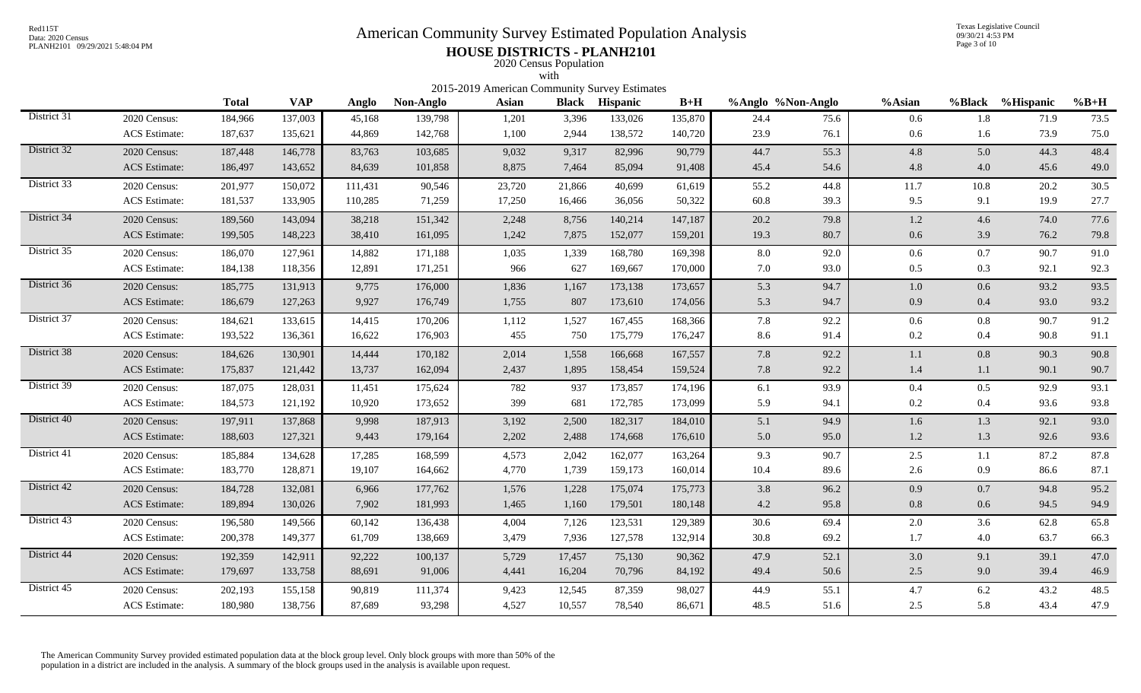# Red115T<br>Data: 2020 Census<br>PLANH2101 09/29/2021 5:48:04 PM<br>**American Community Survey Estimated Population Analysis**

Texas Legislative Council 09/30/21 4:53 PM Page 3 of 10

## PLANH2101 09/29/2021 5:48:04 PM **HOUSE DISTRICTS - PLANH2101** 2020 Census Population

|             |                      |              |            |         |           | 2015-2019 American Community Survey Estimates | with   |                       |         |                   |      |         |         |                  |        |
|-------------|----------------------|--------------|------------|---------|-----------|-----------------------------------------------|--------|-----------------------|---------|-------------------|------|---------|---------|------------------|--------|
|             |                      | <b>Total</b> | <b>VAP</b> | Anglo   | Non-Anglo | Asian                                         |        | <b>Black</b> Hispanic | $B+H$   | %Anglo %Non-Anglo |      | %Asian  |         | %Black %Hispanic | $%B+H$ |
| District 31 | 2020 Census:         | 184,966      | 137,003    | 45,168  | 139,798   | 1,201                                         | 3,396  | 133,026               | 135,870 | 24.4              | 75.6 | 0.6     | 1.8     | 71.9             | 73.5   |
|             | <b>ACS</b> Estimate: | 187,637      | 135,621    | 44,869  | 142,768   | 1,100                                         | 2,944  | 138,572               | 140,720 | 23.9              | 76.1 | 0.6     | 1.6     | 73.9             | 75.0   |
| District 32 | 2020 Census:         | 187,448      | 146,778    | 83,763  | 103,685   | 9,032                                         | 9,317  | 82,996                | 90,779  | 44.7              | 55.3 | 4.8     | 5.0     | 44.3             | 48.4   |
|             | <b>ACS</b> Estimate: | 186,497      | 143,652    | 84,639  | 101,858   | 8,875                                         | 7,464  | 85,094                | 91,408  | 45.4              | 54.6 | 4.8     | 4.0     | 45.6             | 49.0   |
| District 33 | 2020 Census:         | 201,977      | 150,072    | 111,431 | 90,546    | 23,720                                        | 21,866 | 40,699                | 61,619  | 55.2              | 44.8 | 11.7    | 10.8    | 20.2             | 30.5   |
|             | ACS Estimate:        | 181,537      | 133,905    | 110,285 | 71,259    | 17,250                                        | 16,466 | 36,056                | 50,322  | 60.8              | 39.3 | 9.5     | 9.1     | 19.9             | 27.7   |
| District 34 | 2020 Census:         | 189,560      | 143,094    | 38,218  | 151,342   | 2,248                                         | 8,756  | 140,214               | 147,187 | 20.2              | 79.8 | 1.2     | 4.6     | 74.0             | 77.6   |
|             | <b>ACS</b> Estimate: | 199,505      | 148,223    | 38,410  | 161,095   | 1,242                                         | 7,875  | 152,077               | 159,201 | 19.3              | 80.7 | 0.6     | 3.9     | 76.2             | 79.8   |
| District 35 | 2020 Census:         | 186,070      | 127,961    | 14,882  | 171,188   | 1,035                                         | 1,339  | 168,780               | 169,398 | 8.0               | 92.0 | 0.6     | $0.7\,$ | 90.7             | 91.0   |
|             | <b>ACS</b> Estimate: | 184,138      | 118,356    | 12,891  | 171,251   | 966                                           | 627    | 169,667               | 170,000 | 7.0               | 93.0 | 0.5     | 0.3     | 92.1             | 92.3   |
| District 36 | 2020 Census:         | 185,775      | 131,913    | 9,775   | 176,000   | 1,836                                         | 1,167  | 173,138               | 173,657 | 5.3               | 94.7 | $1.0\,$ | 0.6     | 93.2             | 93.5   |
|             | <b>ACS</b> Estimate: | 186,679      | 127,263    | 9,927   | 176,749   | 1,755                                         | 807    | 173,610               | 174,056 | 5.3               | 94.7 | 0.9     | $0.4\,$ | 93.0             | 93.2   |
| District 37 | 2020 Census:         | 184,621      | 133,615    | 14,415  | 170,206   | 1,112                                         | 1,527  | 167,455               | 168,366 | 7.8               | 92.2 | 0.6     | $0.8\,$ | 90.7             | 91.2   |
|             | <b>ACS</b> Estimate: | 193,522      | 136,361    | 16,622  | 176,903   | 455                                           | 750    | 175,779               | 176,247 | 8.6               | 91.4 | 0.2     | 0.4     | 90.8             | 91.1   |
| District 38 | 2020 Census:         | 184,626      | 130,901    | 14,444  | 170,182   | 2,014                                         | 1,558  | 166,668               | 167,557 | 7.8               | 92.2 | 1.1     | 0.8     | 90.3             | 90.8   |
|             | <b>ACS</b> Estimate: | 175,837      | 121,442    | 13,737  | 162,094   | 2,437                                         | 1,895  | 158,454               | 159,524 | 7.8               | 92.2 | $1.4\,$ | 1.1     | 90.1             | 90.7   |
| District 39 | 2020 Census:         | 187,075      | 128,031    | 11,451  | 175,624   | 782                                           | 937    | 173,857               | 174,196 | 6.1               | 93.9 | 0.4     | 0.5     | 92.9             | 93.1   |
|             | <b>ACS</b> Estimate: | 184,573      | 121,192    | 10,920  | 173,652   | 399                                           | 681    | 172,785               | 173,099 | 5.9               | 94.1 | 0.2     | 0.4     | 93.6             | 93.8   |
| District 40 | 2020 Census:         | 197,911      | 137,868    | 9,998   | 187,913   | 3,192                                         | 2,500  | 182,317               | 184,010 | 5.1               | 94.9 | $1.6\,$ | 1.3     | 92.1             | 93.0   |
|             | <b>ACS</b> Estimate: | 188,603      | 127,321    | 9,443   | 179,164   | 2,202                                         | 2,488  | 174,668               | 176,610 | 5.0               | 95.0 | $1.2\,$ | 1.3     | 92.6             | 93.6   |
| District 41 | 2020 Census:         | 185,884      | 134,628    | 17,285  | 168,599   | 4,573                                         | 2,042  | 162,077               | 163,264 | 9.3               | 90.7 | 2.5     | $1.1\,$ | 87.2             | 87.8   |
|             | <b>ACS</b> Estimate: | 183,770      | 128,871    | 19,107  | 164,662   | 4,770                                         | 1,739  | 159,173               | 160,014 | 10.4              | 89.6 | 2.6     | 0.9     | 86.6             | 87.1   |
| District 42 | 2020 Census:         | 184,728      | 132,081    | 6,966   | 177,762   | 1,576                                         | 1,228  | 175,074               | 175,773 | 3.8               | 96.2 | 0.9     | 0.7     | 94.8             | 95.2   |
|             | <b>ACS</b> Estimate: | 189,894      | 130,026    | 7,902   | 181,993   | 1,465                                         | 1,160  | 179,501               | 180,148 | 4.2               | 95.8 | $0.8\,$ | 0.6     | 94.5             | 94.9   |
| District 43 | 2020 Census:         | 196,580      | 149,566    | 60,142  | 136,438   | 4,004                                         | 7,126  | 123,531               | 129,389 | 30.6              | 69.4 | $2.0\,$ | 3.6     | 62.8             | 65.8   |
|             | <b>ACS</b> Estimate: | 200,378      | 149,377    | 61,709  | 138,669   | 3,479                                         | 7,936  | 127,578               | 132,914 | 30.8              | 69.2 | 1.7     | 4.0     | 63.7             | 66.3   |
| District 44 | 2020 Census:         | 192,359      | 142,911    | 92,222  | 100,137   | 5,729                                         | 17,457 | 75,130                | 90,362  | 47.9              | 52.1 | 3.0     | 9.1     | 39.1             | 47.0   |
|             | <b>ACS</b> Estimate: | 179,697      | 133,758    | 88,691  | 91,006    | 4,441                                         | 16,204 | 70,796                | 84,192  | 49.4              | 50.6 | $2.5\,$ | 9.0     | 39.4             | 46.9   |
| District 45 | 2020 Census:         | 202,193      | 155,158    | 90,819  | 111,374   | 9,423                                         | 12,545 | 87,359                | 98,027  | 44.9              | 55.1 | 4.7     | 6.2     | 43.2             | 48.5   |
|             | ACS Estimate:        | 180,980      | 138,756    | 87,689  | 93,298    | 4,527                                         | 10,557 | 78,540                | 86,671  | 48.5              | 51.6 | 2.5     | 5.8     | 43.4             | 47.9   |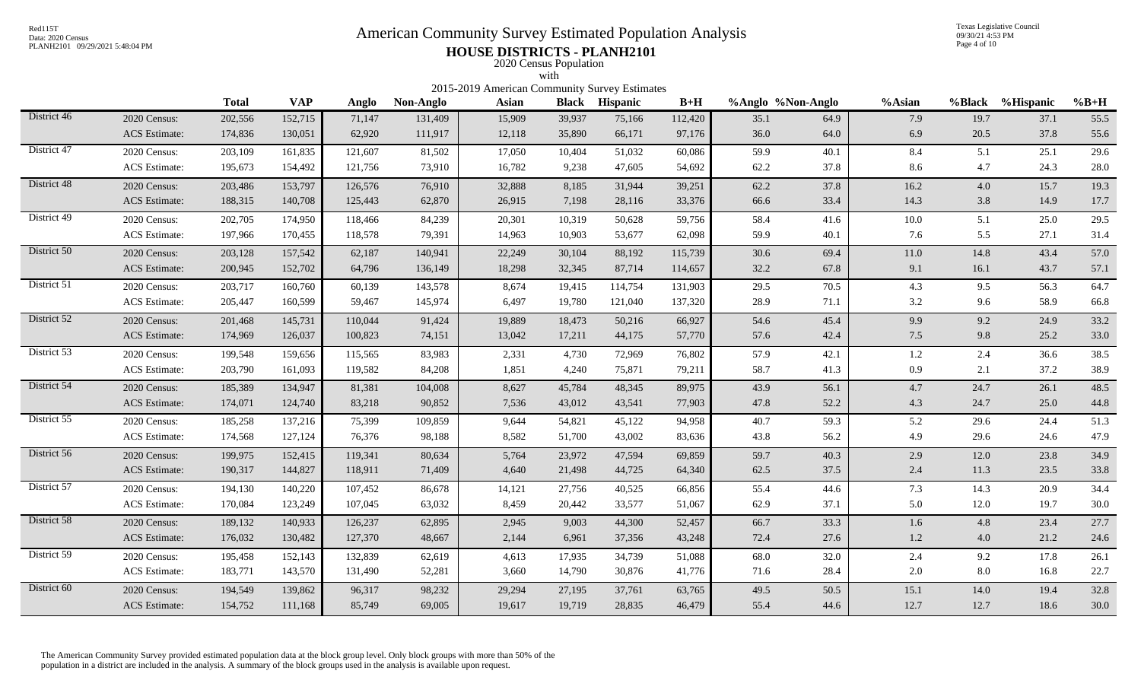# Red115T<br>Data: 2020 Census<br>PLANH2101 09/29/2021 5:48:04 PM<br>**American Community Survey Estimated Population Analysis**

Texas Legislative Council 09/30/21 4:53 PM Page 4 of 10

## PLANH2101 09/29/2021 5:48:04 PM **HOUSE DISTRICTS - PLANH2101** 2020 Census Population

|             |                      |              |            |         |           | 2015-2019 American Community Survey Estimates | with   |                       |         |                   |      |         |         |                  |        |
|-------------|----------------------|--------------|------------|---------|-----------|-----------------------------------------------|--------|-----------------------|---------|-------------------|------|---------|---------|------------------|--------|
|             |                      | <b>Total</b> | <b>VAP</b> | Anglo   | Non-Anglo | Asian                                         |        | <b>Black Hispanic</b> | $B+H$   | %Anglo %Non-Anglo |      | %Asian  |         | %Black %Hispanic | $%B+H$ |
| District 46 | 2020 Census:         | 202,556      | 152,715    | 71,147  | 131,409   | 15,909                                        | 39,937 | 75,166                | 112,420 | 35.1              | 64.9 | 7.9     | 19.7    | 37.1             | 55.5   |
|             | <b>ACS</b> Estimate: | 174,836      | 130,051    | 62,920  | 111,917   | 12,118                                        | 35,890 | 66,171                | 97,176  | 36.0              | 64.0 | 6.9     | 20.5    | 37.8             | 55.6   |
| District 47 | 2020 Census:         | 203,109      | 161,835    | 121,607 | 81,502    | 17,050                                        | 10,404 | 51,032                | 60,086  | 59.9              | 40.1 | 8.4     | 5.1     | 25.1             | 29.6   |
|             | <b>ACS</b> Estimate: | 195,673      | 154,492    | 121,756 | 73,910    | 16,782                                        | 9,238  | 47,605                | 54,692  | 62.2              | 37.8 | 8.6     | 4.7     | 24.3             | 28.0   |
| District 48 | 2020 Census:         | 203,486      | 153,797    | 126,576 | 76,910    | 32,888                                        | 8,185  | 31,944                | 39,251  | 62.2              | 37.8 | 16.2    | 4.0     | 15.7             | 19.3   |
|             | <b>ACS</b> Estimate: | 188,315      | 140,708    | 125,443 | 62,870    | 26,915                                        | 7,198  | 28,116                | 33,376  | 66.6              | 33.4 | 14.3    | 3.8     | 14.9             | 17.7   |
| District 49 | 2020 Census:         | 202,705      | 174,950    | 118,466 | 84,239    | 20,301                                        | 10,319 | 50,628                | 59,756  | 58.4              | 41.6 | 10.0    | 5.1     | 25.0             | 29.5   |
|             | <b>ACS</b> Estimate: | 197,966      | 170,455    | 118,578 | 79,391    | 14,963                                        | 10,903 | 53,677                | 62,098  | 59.9              | 40.1 | 7.6     | 5.5     | 27.1             | 31.4   |
| District 50 | 2020 Census:         | 203,128      | 157,542    | 62,187  | 140,941   | 22,249                                        | 30,104 | 88,192                | 115,739 | 30.6              | 69.4 | 11.0    | 14.8    | 43.4             | 57.0   |
|             | <b>ACS</b> Estimate: | 200,945      | 152,702    | 64,796  | 136,149   | 18,298                                        | 32,345 | 87,714                | 114,657 | 32.2              | 67.8 | 9.1     | 16.1    | 43.7             | 57.1   |
| District 51 | 2020 Census:         | 203,717      | 160,760    | 60,139  | 143,578   | 8,674                                         | 19,415 | 114,754               | 131,903 | 29.5              | 70.5 | 4.3     | 9.5     | 56.3             | 64.7   |
|             | <b>ACS</b> Estimate: | 205,447      | 160,599    | 59,467  | 145,974   | 6,497                                         | 19,780 | 121,040               | 137,320 | 28.9              | 71.1 | 3.2     | 9.6     | 58.9             | 66.8   |
| District 52 | 2020 Census:         | 201,468      | 145,731    | 110,044 | 91,424    | 19,889                                        | 18,473 | 50,216                | 66,927  | 54.6              | 45.4 | 9.9     | 9.2     | 24.9             | 33.2   |
|             | <b>ACS</b> Estimate: | 174,969      | 126,037    | 100,823 | 74,151    | 13,042                                        | 17,211 | 44,175                | 57,770  | 57.6              | 42.4 | 7.5     | 9.8     | 25.2             | 33.0   |
| District 53 | 2020 Census:         | 199,548      | 159,656    | 115,565 | 83,983    | 2,331                                         | 4,730  | 72,969                | 76,802  | 57.9              | 42.1 | $1.2\,$ | 2.4     | 36.6             | 38.5   |
|             | <b>ACS</b> Estimate: | 203,790      | 161,093    | 119,582 | 84,208    | 1,851                                         | 4,240  | 75,871                | 79,211  | 58.7              | 41.3 | 0.9     | 2.1     | 37.2             | 38.9   |
| District 54 | 2020 Census:         | 185,389      | 134,947    | 81,381  | 104,008   | 8,627                                         | 45,784 | 48,345                | 89,975  | 43.9              | 56.1 | 4.7     | 24.7    | 26.1             | 48.5   |
|             | <b>ACS</b> Estimate: | 174,071      | 124,740    | 83,218  | 90,852    | 7,536                                         | 43,012 | 43,541                | 77,903  | 47.8              | 52.2 | 4.3     | 24.7    | 25.0             | 44.8   |
| District 55 | 2020 Census:         | 185,258      | 137,216    | 75,399  | 109,859   | 9,644                                         | 54,821 | 45,122                | 94,958  | 40.7              | 59.3 | 5.2     | 29.6    | 24.4             | 51.3   |
|             | <b>ACS</b> Estimate: | 174,568      | 127,124    | 76,376  | 98,188    | 8,582                                         | 51,700 | 43,002                | 83,636  | 43.8              | 56.2 | 4.9     | 29.6    | 24.6             | 47.9   |
| District 56 | 2020 Census:         | 199,975      | 152,415    | 119,341 | 80,634    | 5,764                                         | 23,972 | 47,594                | 69,859  | 59.7              | 40.3 | 2.9     | 12.0    | 23.8             | 34.9   |
|             | <b>ACS</b> Estimate: | 190,317      | 144,827    | 118,911 | 71,409    | 4,640                                         | 21,498 | 44,725                | 64,340  | 62.5              | 37.5 | 2.4     | 11.3    | 23.5             | 33.8   |
| District 57 | 2020 Census:         | 194,130      | 140,220    | 107,452 | 86,678    | 14,121                                        | 27,756 | 40,525                | 66,856  | 55.4              | 44.6 | 7.3     | 14.3    | 20.9             | 34.4   |
|             | <b>ACS</b> Estimate: | 170,084      | 123,249    | 107,045 | 63,032    | 8,459                                         | 20,442 | 33,577                | 51,067  | 62.9              | 37.1 | 5.0     | 12.0    | 19.7             | 30.0   |
| District 58 | 2020 Census:         | 189,132      | 140,933    | 126,237 | 62,895    | 2,945                                         | 9,003  | 44,300                | 52,457  | 66.7              | 33.3 | 1.6     | 4.8     | 23.4             | 27.7   |
|             | <b>ACS</b> Estimate: | 176,032      | 130,482    | 127,370 | 48,667    | 2,144                                         | 6,961  | 37,356                | 43,248  | 72.4              | 27.6 | $1.2\,$ | 4.0     | 21.2             | 24.6   |
| District 59 | 2020 Census:         | 195,458      | 152,143    | 132,839 | 62,619    | 4,613                                         | 17,935 | 34,739                | 51,088  | 68.0              | 32.0 | 2.4     | 9.2     | 17.8             | 26.1   |
|             | ACS Estimate:        | 183,771      | 143,570    | 131,490 | 52,281    | 3,660                                         | 14,790 | 30,876                | 41,776  | 71.6              | 28.4 | $2.0\,$ | $8.0\,$ | 16.8             | 22.7   |
| District 60 | 2020 Census:         | 194,549      | 139,862    | 96,317  | 98,232    | 29,294                                        | 27,195 | 37,761                | 63,765  | 49.5              | 50.5 | 15.1    | 14.0    | 19.4             | 32.8   |
|             | <b>ACS</b> Estimate: | 154,752      | 111,168    | 85,749  | 69,005    | 19,617                                        | 19,719 | 28,835                | 46,479  | 55.4              | 44.6 | 12.7    | 12.7    | 18.6             | 30.0   |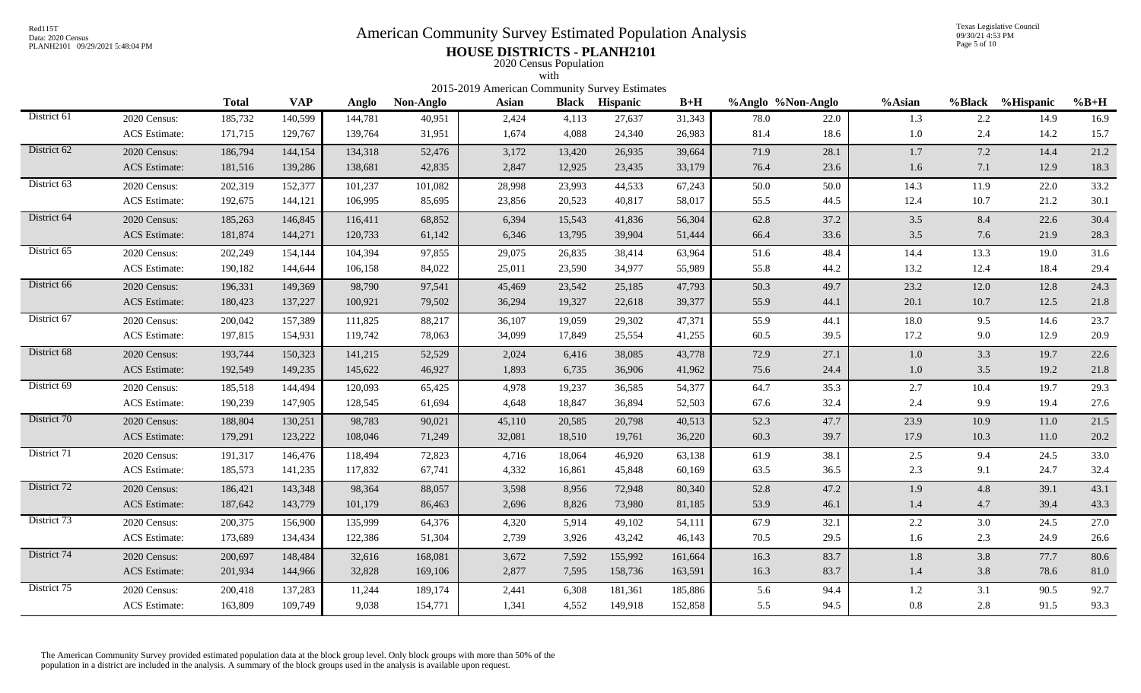# Red115T<br>Data: 2020 Census<br>PLANH2101 09/29/2021 5:48:04 PM<br>**American Community Survey Estimated Population Analysis**

Texas Legislative Council 09/30/21 4:53 PM Page 5 of 10

## PLANH2101 09/29/2021 5:48:04 PM **HOUSE DISTRICTS - PLANH2101** 2020 Census Population

|             |                                      |                                                                                                                                                                                                                                                                                                                                                                                                            |         |         |         | 2015-2019 American Community Survey Estimates | with   |         |         |      |      |         |      |          |              |  |
|-------------|--------------------------------------|------------------------------------------------------------------------------------------------------------------------------------------------------------------------------------------------------------------------------------------------------------------------------------------------------------------------------------------------------------------------------------------------------------|---------|---------|---------|-----------------------------------------------|--------|---------|---------|------|------|---------|------|----------|--------------|--|
|             |                                      | <b>VAP</b><br>$B+H$<br>%Black %Hispanic<br><b>Total</b><br>%Anglo %Non-Anglo<br>%Asian<br>$%B+H$<br>Non-Anglo<br>Asian<br><b>Black</b> Hispanic<br>Anglo<br>2.2<br>2,424<br>27,637<br>14.9<br>185,732<br>140,599<br>144,781<br>40,951<br>4,113<br>31,343<br>78.0<br>22.0<br>1.3<br>1,674<br>2.4<br>14.2<br>129,767<br>139,764<br>31,951<br>4,088<br>24,340<br>26,983<br>81.4<br>18.6<br>$1.0\,$<br>171,715 |         |         |         |                                               |        |         |         |      |      |         |      |          |              |  |
| District 61 | 2020 Census:<br><b>ACS</b> Estimate: |                                                                                                                                                                                                                                                                                                                                                                                                            |         |         |         |                                               |        |         |         |      |      |         |      |          | 16.9<br>15.7 |  |
| District 62 | 2020 Census:                         | 186,794                                                                                                                                                                                                                                                                                                                                                                                                    | 144,154 | 134,318 | 52,476  | 3,172                                         | 13,420 | 26,935  | 39,664  | 71.9 | 28.1 | 1.7     | 7.2  | 14.4     | 21.2         |  |
|             | <b>ACS</b> Estimate:                 | 181,516                                                                                                                                                                                                                                                                                                                                                                                                    | 139,286 | 138,681 | 42,835  | 2,847                                         | 12,925 | 23,435  | 33,179  | 76.4 | 23.6 | 1.6     | 7.1  | 12.9     | 18.3         |  |
| District 63 | 2020 Census:                         | 202,319                                                                                                                                                                                                                                                                                                                                                                                                    | 152,377 | 101,237 | 101,082 | 28,998                                        | 23,993 | 44,533  | 67,243  | 50.0 | 50.0 | 14.3    | 11.9 | 22.0     | 33.2         |  |
|             | ACS Estimate:                        | 192,675                                                                                                                                                                                                                                                                                                                                                                                                    | 144,121 | 106,995 | 85,695  | 23,856                                        | 20,523 | 40,817  | 58,017  | 55.5 | 44.5 | 12.4    | 10.7 | 21.2     | 30.1         |  |
| District 64 | 2020 Census:                         | 185,263                                                                                                                                                                                                                                                                                                                                                                                                    | 146,845 | 116,411 | 68,852  | 6,394                                         | 15,543 | 41,836  | 56,304  | 62.8 | 37.2 | 3.5     | 8.4  | 22.6     | 30.4         |  |
|             | <b>ACS</b> Estimate:                 | 181,874                                                                                                                                                                                                                                                                                                                                                                                                    | 144,271 | 120,733 | 61,142  | 6,346                                         | 13,795 | 39,904  | 51,444  | 66.4 | 33.6 | 3.5     | 7.6  | 21.9     | 28.3         |  |
| District 65 | 2020 Census:                         | 202,249                                                                                                                                                                                                                                                                                                                                                                                                    | 154,144 | 104,394 | 97,855  | 29,075                                        | 26,835 | 38,414  | 63,964  | 51.6 | 48.4 | 14.4    | 13.3 | 19.0     | 31.6         |  |
|             | <b>ACS</b> Estimate:                 | 190,182                                                                                                                                                                                                                                                                                                                                                                                                    | 144,644 | 106,158 | 84,022  | 25,011                                        | 23,590 | 34,977  | 55,989  | 55.8 | 44.2 | 13.2    | 12.4 | 18.4     | 29.4         |  |
| District 66 | 2020 Census:                         | 196,331                                                                                                                                                                                                                                                                                                                                                                                                    | 149,369 | 98,790  | 97,541  | 45,469                                        | 23,542 | 25,185  | 47,793  | 50.3 | 49.7 | 23.2    | 12.0 | 12.8     | 24.3         |  |
|             | <b>ACS</b> Estimate:                 | 180,423                                                                                                                                                                                                                                                                                                                                                                                                    | 137,227 | 100,921 | 79,502  | 36,294                                        | 19,327 | 22,618  | 39,377  | 55.9 | 44.1 | 20.1    | 10.7 | 12.5     | 21.8         |  |
| District 67 | 2020 Census:                         | 200,042                                                                                                                                                                                                                                                                                                                                                                                                    | 157,389 | 111,825 | 88,217  | 36,107                                        | 19,059 | 29,302  | 47,371  | 55.9 | 44.1 | 18.0    | 9.5  | 14.6     | 23.7         |  |
|             | <b>ACS</b> Estimate:                 | 197,815                                                                                                                                                                                                                                                                                                                                                                                                    | 154,931 | 119,742 | 78,063  | 34,099                                        | 17,849 | 25,554  | 41,255  | 60.5 | 39.5 | 17.2    | 9.0  | 12.9     | 20.9         |  |
| District 68 | 2020 Census:                         | 193,744                                                                                                                                                                                                                                                                                                                                                                                                    | 150,323 | 141,215 | 52,529  | 2,024                                         | 6,416  | 38,085  | 43,778  | 72.9 | 27.1 | $1.0\,$ | 3.3  | 19.7     | 22.6         |  |
|             | <b>ACS</b> Estimate:                 | 192,549                                                                                                                                                                                                                                                                                                                                                                                                    | 149,235 | 145,622 | 46,927  | 1,893                                         | 6,735  | 36,906  | 41,962  | 75.6 | 24.4 | $1.0\,$ | 3.5  | 19.2     | 21.8         |  |
| District 69 | 2020 Census:                         | 185,518                                                                                                                                                                                                                                                                                                                                                                                                    | 144,494 | 120,093 | 65,425  | 4,978                                         | 19,237 | 36,585  | 54,377  | 64.7 | 35.3 | 2.7     | 10.4 | 19.7     | 29.3         |  |
|             | <b>ACS</b> Estimate:                 | 190,239                                                                                                                                                                                                                                                                                                                                                                                                    | 147,905 | 128,545 | 61,694  | 4,648                                         | 18,847 | 36,894  | 52,503  | 67.6 | 32.4 | 2.4     | 9.9  | 19.4     | 27.6         |  |
| District 70 | 2020 Census:                         | 188,804                                                                                                                                                                                                                                                                                                                                                                                                    | 130,251 | 98,783  | 90,021  | 45,110                                        | 20,585 | 20,798  | 40,513  | 52.3 | 47.7 | 23.9    | 10.9 | $11.0\,$ | 21.5         |  |
|             | <b>ACS</b> Estimate:                 | 179,291                                                                                                                                                                                                                                                                                                                                                                                                    | 123,222 | 108,046 | 71,249  | 32,081                                        | 18,510 | 19,761  | 36,220  | 60.3 | 39.7 | 17.9    | 10.3 | $11.0\,$ | 20.2         |  |
| District 71 | 2020 Census:                         | 191,317                                                                                                                                                                                                                                                                                                                                                                                                    | 146,476 | 118,494 | 72,823  | 4,716                                         | 18,064 | 46,920  | 63,138  | 61.9 | 38.1 | 2.5     | 9.4  | 24.5     | 33.0         |  |
|             | <b>ACS</b> Estimate:                 | 185,573                                                                                                                                                                                                                                                                                                                                                                                                    | 141,235 | 117,832 | 67,741  | 4,332                                         | 16,861 | 45,848  | 60,169  | 63.5 | 36.5 | 2.3     | 9.1  | 24.7     | 32.4         |  |
| District 72 | 2020 Census:                         | 186,421                                                                                                                                                                                                                                                                                                                                                                                                    | 143,348 | 98,364  | 88,057  | 3,598                                         | 8,956  | 72,948  | 80,340  | 52.8 | 47.2 | 1.9     | 4.8  | 39.1     | 43.1         |  |
|             | <b>ACS</b> Estimate:                 | 187,642                                                                                                                                                                                                                                                                                                                                                                                                    | 143,779 | 101,179 | 86,463  | 2,696                                         | 8,826  | 73,980  | 81,185  | 53.9 | 46.1 | 1.4     | 4.7  | 39.4     | 43.3         |  |
| District 73 | 2020 Census:                         | 200,375                                                                                                                                                                                                                                                                                                                                                                                                    | 156,900 | 135,999 | 64,376  | 4,320                                         | 5,914  | 49,102  | 54,111  | 67.9 | 32.1 | 2.2     | 3.0  | 24.5     | 27.0         |  |
|             | <b>ACS</b> Estimate:                 | 173,689                                                                                                                                                                                                                                                                                                                                                                                                    | 134,434 | 122,386 | 51,304  | 2,739                                         | 3,926  | 43,242  | 46,143  | 70.5 | 29.5 | 1.6     | 2.3  | 24.9     | 26.6         |  |
| District 74 | 2020 Census:                         | 200,697                                                                                                                                                                                                                                                                                                                                                                                                    | 148,484 | 32,616  | 168,081 | 3,672                                         | 7,592  | 155,992 | 161,664 | 16.3 | 83.7 | $1.8\,$ | 3.8  | 77.7     | 80.6         |  |
|             | <b>ACS</b> Estimate:                 | 201,934                                                                                                                                                                                                                                                                                                                                                                                                    | 144,966 | 32,828  | 169,106 | 2,877                                         | 7,595  | 158,736 | 163,591 | 16.3 | 83.7 | $1.4\,$ | 3.8  | 78.6     | 81.0         |  |
| District 75 | 2020 Census:                         | 200,418                                                                                                                                                                                                                                                                                                                                                                                                    | 137,283 | 11,244  | 189,174 | 2,441                                         | 6,308  | 181,361 | 185,886 | 5.6  | 94.4 | 1.2     | 3.1  | 90.5     | 92.7         |  |
|             | ACS Estimate:                        | 163,809                                                                                                                                                                                                                                                                                                                                                                                                    | 109,749 | 9,038   | 154,771 | 1,341                                         | 4,552  | 149,918 | 152,858 | 5.5  | 94.5 | 0.8     | 2.8  | 91.5     | 93.3         |  |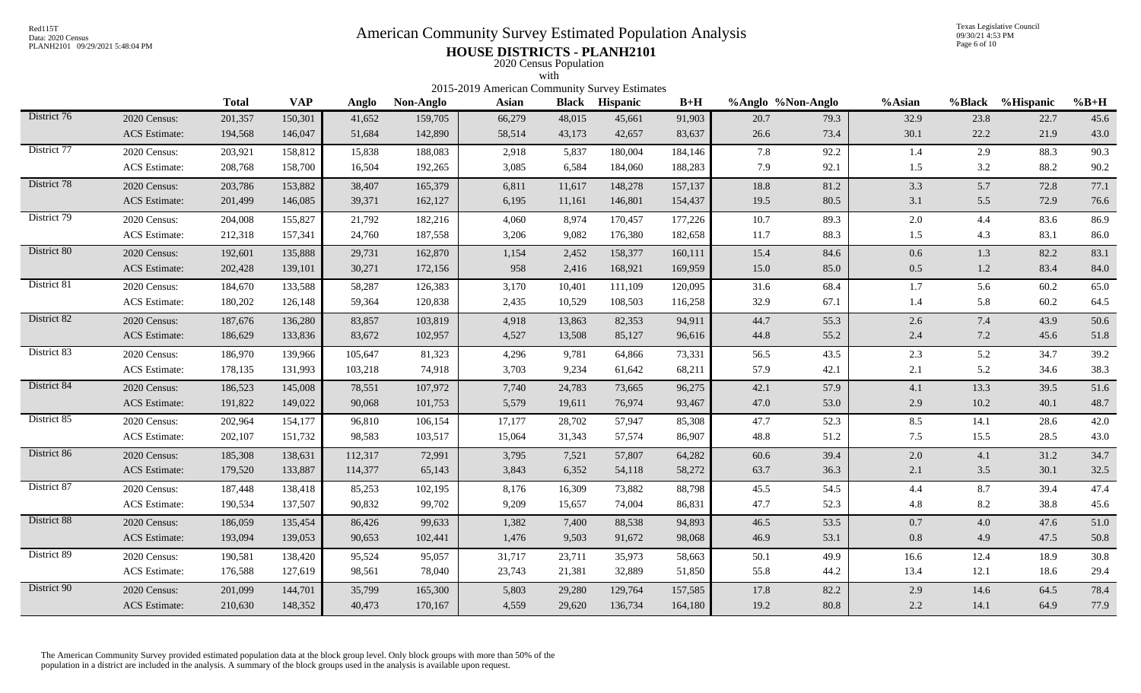# Red115T<br>Data: 2020 Census<br>PLANH2101 09/29/2021 5:48:04 PM<br>**American Community Survey Estimated Population Analysis**

Texas Legislative Council 09/30/21 4:53 PM Page 6 of 10

## PLANH2101 09/29/2021 5:48:04 PM **HOUSE DISTRICTS - PLANH2101** 2020 Census Population

|             |                                                                                                                                                                                                                                                                                                                                                                                                                                                                                                                                |         |         |         |         |        | with   |         |         |      |      |         |      |      |      |
|-------------|--------------------------------------------------------------------------------------------------------------------------------------------------------------------------------------------------------------------------------------------------------------------------------------------------------------------------------------------------------------------------------------------------------------------------------------------------------------------------------------------------------------------------------|---------|---------|---------|---------|--------|--------|---------|---------|------|------|---------|------|------|------|
|             | 2015-2019 American Community Survey Estimates<br><b>Total</b><br><b>VAP</b><br>$B+H$<br>%Anglo %Non-Anglo<br>%Black %Hispanic<br>$%B+H$<br>Non-Anglo<br><b>Asian</b><br><b>Black Hispanic</b><br>%Asian<br>Anglo<br>150,301<br>41,652<br>159,705<br>66,279<br>32.9<br>23.8<br>22.7<br>45.6<br>2020 Census:<br>201,357<br>48,015<br>45,661<br>91,903<br>20.7<br>79.3<br>58,514<br>73.4<br>30.1<br>22.2<br>21.9<br><b>ACS</b> Estimate:<br>194,568<br>146,047<br>51,684<br>142,890<br>43,173<br>42,657<br>83,637<br>26.6<br>43.0 |         |         |         |         |        |        |         |         |      |      |         |      |      |      |
| District 76 |                                                                                                                                                                                                                                                                                                                                                                                                                                                                                                                                |         |         |         |         |        |        |         |         |      |      |         |      |      |      |
|             |                                                                                                                                                                                                                                                                                                                                                                                                                                                                                                                                |         |         |         |         |        |        |         |         |      |      |         |      |      |      |
| District 77 | 2020 Census:                                                                                                                                                                                                                                                                                                                                                                                                                                                                                                                   | 203,921 | 158,812 | 15,838  | 188,083 | 2,918  | 5,837  | 180,004 | 184,146 | 7.8  | 92.2 | 1.4     | 2.9  | 88.3 | 90.3 |
|             | <b>ACS</b> Estimate:                                                                                                                                                                                                                                                                                                                                                                                                                                                                                                           | 208,768 | 158,700 | 16,504  | 192,265 | 3,085  | 6,584  | 184,060 | 188,283 | 7.9  | 92.1 | 1.5     | 3.2  | 88.2 | 90.2 |
| District 78 | 2020 Census:                                                                                                                                                                                                                                                                                                                                                                                                                                                                                                                   | 203,786 | 153,882 | 38,407  | 165,379 | 6,811  | 11,617 | 148,278 | 157,137 | 18.8 | 81.2 | 3.3     | 5.7  | 72.8 | 77.1 |
|             | <b>ACS</b> Estimate:                                                                                                                                                                                                                                                                                                                                                                                                                                                                                                           | 201,499 | 146,085 | 39,371  | 162,127 | 6,195  | 11,161 | 146,801 | 154,437 | 19.5 | 80.5 | 3.1     | 5.5  | 72.9 | 76.6 |
| District 79 | 2020 Census:                                                                                                                                                                                                                                                                                                                                                                                                                                                                                                                   | 204,008 | 155,827 | 21,792  | 182,216 | 4,060  | 8,974  | 170,457 | 177,226 | 10.7 | 89.3 | $2.0\,$ | 4.4  | 83.6 | 86.9 |
|             | <b>ACS</b> Estimate:                                                                                                                                                                                                                                                                                                                                                                                                                                                                                                           | 212,318 | 157,341 | 24,760  | 187,558 | 3,206  | 9,082  | 176,380 | 182,658 | 11.7 | 88.3 | 1.5     | 4.3  | 83.1 | 86.0 |
| District 80 | 2020 Census:                                                                                                                                                                                                                                                                                                                                                                                                                                                                                                                   | 192,601 | 135,888 | 29,731  | 162,870 | 1,154  | 2,452  | 158,377 | 160,111 | 15.4 | 84.6 | 0.6     | 1.3  | 82.2 | 83.1 |
|             | <b>ACS</b> Estimate:                                                                                                                                                                                                                                                                                                                                                                                                                                                                                                           | 202,428 | 139,101 | 30,271  | 172,156 | 958    | 2,416  | 168,921 | 169,959 | 15.0 | 85.0 | 0.5     | 1.2  | 83.4 | 84.0 |
| District 81 | 2020 Census:                                                                                                                                                                                                                                                                                                                                                                                                                                                                                                                   | 184,670 | 133,588 | 58,287  | 126,383 | 3,170  | 10.401 | 111,109 | 120,095 | 31.6 | 68.4 | 1.7     | 5.6  | 60.2 | 65.0 |
|             | <b>ACS</b> Estimate:                                                                                                                                                                                                                                                                                                                                                                                                                                                                                                           | 180,202 | 126,148 | 59,364  | 120,838 | 2,435  | 10,529 | 108,503 | 116,258 | 32.9 | 67.1 | 1.4     | 5.8  | 60.2 | 64.5 |
| District 82 | 2020 Census:                                                                                                                                                                                                                                                                                                                                                                                                                                                                                                                   | 187,676 | 136,280 | 83,857  | 103,819 | 4,918  | 13,863 | 82,353  | 94,911  | 44.7 | 55.3 | 2.6     | 7.4  | 43.9 | 50.6 |
|             | <b>ACS</b> Estimate:                                                                                                                                                                                                                                                                                                                                                                                                                                                                                                           | 186,629 | 133,836 | 83,672  | 102,957 | 4,527  | 13,508 | 85,127  | 96,616  | 44.8 | 55.2 | 2.4     | 7.2  | 45.6 | 51.8 |
| District 83 | 2020 Census:                                                                                                                                                                                                                                                                                                                                                                                                                                                                                                                   | 186,970 | 139,966 | 105,647 | 81,323  | 4,296  | 9,781  | 64,866  | 73,331  | 56.5 | 43.5 | 2.3     | 5.2  | 34.7 | 39.2 |
|             | ACS Estimate:                                                                                                                                                                                                                                                                                                                                                                                                                                                                                                                  | 178,135 | 131,993 | 103,218 | 74,918  | 3,703  | 9,234  | 61,642  | 68,211  | 57.9 | 42.1 | 2.1     | 5.2  | 34.6 | 38.3 |
| District 84 | 2020 Census:                                                                                                                                                                                                                                                                                                                                                                                                                                                                                                                   | 186,523 | 145,008 | 78,551  | 107,972 | 7,740  | 24,783 | 73,665  | 96,275  | 42.1 | 57.9 | 4.1     | 13.3 | 39.5 | 51.6 |
|             | <b>ACS</b> Estimate:                                                                                                                                                                                                                                                                                                                                                                                                                                                                                                           | 191,822 | 149,022 | 90,068  | 101,753 | 5,579  | 19,611 | 76,974  | 93,467  | 47.0 | 53.0 | 2.9     | 10.2 | 40.1 | 48.7 |
| District 85 | 2020 Census:                                                                                                                                                                                                                                                                                                                                                                                                                                                                                                                   | 202,964 | 154,177 | 96,810  | 106,154 | 17,177 | 28,702 | 57,947  | 85,308  | 47.7 | 52.3 | 8.5     | 14.1 | 28.6 | 42.0 |
|             | <b>ACS</b> Estimate:                                                                                                                                                                                                                                                                                                                                                                                                                                                                                                           | 202,107 | 151,732 | 98,583  | 103,517 | 15,064 | 31,343 | 57,574  | 86,907  | 48.8 | 51.2 | 7.5     | 15.5 | 28.5 | 43.0 |
| District 86 | 2020 Census:                                                                                                                                                                                                                                                                                                                                                                                                                                                                                                                   | 185,308 | 138,631 | 112,317 | 72,991  | 3,795  | 7,521  | 57,807  | 64,282  | 60.6 | 39.4 | $2.0\,$ | 4.1  | 31.2 | 34.7 |
|             | <b>ACS</b> Estimate:                                                                                                                                                                                                                                                                                                                                                                                                                                                                                                           | 179,520 | 133,887 | 114,377 | 65,143  | 3,843  | 6,352  | 54,118  | 58,272  | 63.7 | 36.3 | 2.1     | 3.5  | 30.1 | 32.5 |
| District 87 | 2020 Census:                                                                                                                                                                                                                                                                                                                                                                                                                                                                                                                   | 187,448 | 138,418 | 85,253  | 102,195 | 8,176  | 16,309 | 73,882  | 88,798  | 45.5 | 54.5 | 4.4     | 8.7  | 39.4 | 47.4 |
|             | <b>ACS</b> Estimate:                                                                                                                                                                                                                                                                                                                                                                                                                                                                                                           | 190,534 | 137,507 | 90,832  | 99,702  | 9,209  | 15,657 | 74,004  | 86,831  | 47.7 | 52.3 | 4.8     | 8.2  | 38.8 | 45.6 |
| District 88 | 2020 Census:                                                                                                                                                                                                                                                                                                                                                                                                                                                                                                                   | 186,059 | 135,454 | 86,426  | 99,633  | 1,382  | 7,400  | 88,538  | 94,893  | 46.5 | 53.5 | 0.7     | 4.0  | 47.6 | 51.0 |
|             | <b>ACS</b> Estimate:                                                                                                                                                                                                                                                                                                                                                                                                                                                                                                           | 193,094 | 139,053 | 90,653  | 102,441 | 1,476  | 9,503  | 91,672  | 98,068  | 46.9 | 53.1 | 0.8     | 4.9  | 47.5 | 50.8 |
| District 89 | 2020 Census:                                                                                                                                                                                                                                                                                                                                                                                                                                                                                                                   | 190,581 | 138,420 | 95,524  | 95,057  | 31,717 | 23,711 | 35,973  | 58,663  | 50.1 | 49.9 | 16.6    | 12.4 | 18.9 | 30.8 |
|             | <b>ACS</b> Estimate:                                                                                                                                                                                                                                                                                                                                                                                                                                                                                                           | 176,588 | 127,619 | 98,561  | 78,040  | 23,743 | 21,381 | 32,889  | 51,850  | 55.8 | 44.2 | 13.4    | 12.1 | 18.6 | 29.4 |
| District 90 | 2020 Census:                                                                                                                                                                                                                                                                                                                                                                                                                                                                                                                   | 201,099 | 144,701 | 35,799  | 165,300 | 5,803  | 29,280 | 129,764 | 157,585 | 17.8 | 82.2 | 2.9     | 14.6 | 64.5 | 78.4 |
|             | <b>ACS</b> Estimate:                                                                                                                                                                                                                                                                                                                                                                                                                                                                                                           | 210,630 | 148,352 | 40,473  | 170,167 | 4,559  | 29,620 | 136,734 | 164,180 | 19.2 | 80.8 | 2.2     | 14.1 | 64.9 | 77.9 |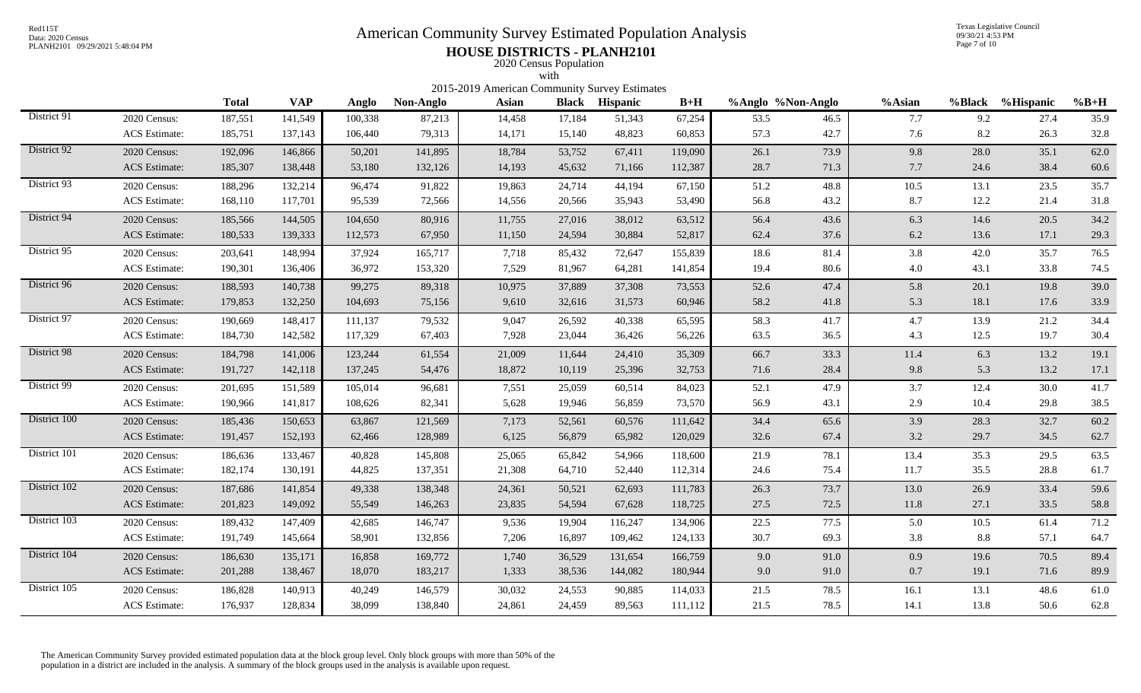# Red115T<br>Data: 2020 Census<br>PLANH2101 09/29/2021 5:48:04 PM<br>**American Community Survey Estimated Population Analysis**

Texas Legislative Council 09/30/21 4:53 PM Page 7 of 10

## PLANH2101 09/29/2021 5:48:04 PM **HOUSE DISTRICTS - PLANH2101** 2020 Census Population

|              |                      |              |            |         |           | 2015-2019 American Community Survey Estimates | with         |                 |         |                   |      |        |          |                  |          |
|--------------|----------------------|--------------|------------|---------|-----------|-----------------------------------------------|--------------|-----------------|---------|-------------------|------|--------|----------|------------------|----------|
|              |                      | <b>Total</b> | <b>VAP</b> | Anglo   | Non-Anglo | <b>Asian</b>                                  | <b>Black</b> | <b>Hispanic</b> | $B+H$   | %Anglo %Non-Anglo |      | %Asian |          | %Black %Hispanic | $%B+H$   |
| District 91  | 2020 Census:         | 187,551      | 141,549    | 100,338 | 87,213    | 14,458                                        | 17,184       | 51,343          | 67,254  | 53.5              | 46.5 | 7.7    | 9.2      | 27.4             | 35.9     |
|              | <b>ACS</b> Estimate: | 185,751      | 137,143    | 106,440 | 79,313    | 14,171                                        | 15,140       | 48,823          | 60,853  | 57.3              | 42.7 | 7.6    | 8.2      | 26.3             | 32.8     |
| District 92  | 2020 Census:         | 192,096      | 146,866    | 50,201  | 141,895   | 18,784                                        | 53,752       | 67,411          | 119,090 | 26.1              | 73.9 | 9.8    | 28.0     | 35.1             | 62.0     |
|              | <b>ACS</b> Estimate: | 185,307      | 138,448    | 53,180  | 132,126   | 14,193                                        | 45,632       | 71,166          | 112,387 | 28.7              | 71.3 | 7.7    | 24.6     | 38.4             | 60.6     |
| District 93  | 2020 Census:         | 188,296      | 132,214    | 96,474  | 91,822    | 19,863                                        | 24,714       | 44,194          | 67,150  | 51.2              | 48.8 | 10.5   | 13.1     | 23.5             | 35.7     |
|              | <b>ACS</b> Estimate: | 168,110      | 117,701    | 95,539  | 72,566    | 14,556                                        | 20,566       | 35,943          | 53,490  | 56.8              | 43.2 | 8.7    | 12.2     | 21.4             | 31.8     |
| District 94  | 2020 Census:         | 185,566      | 144,505    | 104,650 | 80,916    | 11,755                                        | 27,016       | 38,012          | 63,512  | 56.4              | 43.6 | 6.3    | 14.6     | 20.5             | 34.2     |
|              | <b>ACS</b> Estimate: | 180,533      | 139,333    | 112,573 | 67,950    | 11,150                                        | 24,594       | 30,884          | 52,817  | 62.4              | 37.6 | 6.2    | 13.6     | 17.1             | 29.3     |
| District 95  | 2020 Census:         | 203,641      | 148,994    | 37,924  | 165,717   | 7,718                                         | 85,432       | 72,647          | 155,839 | 18.6              | 81.4 | 3.8    | 42.0     | 35.7             | 76.5     |
|              | <b>ACS</b> Estimate: | 190,301      | 136,406    | 36,972  | 153,320   | 7,529                                         | 81,967       | 64,281          | 141,854 | 19.4              | 80.6 | 4.0    | 43.1     | 33.8             | 74.5     |
| District 96  | 2020 Census:         | 188,593      | 140,738    | 99,275  | 89,318    | 10,975                                        | 37,889       | 37,308          | 73,553  | 52.6              | 47.4 | 5.8    | 20.1     | 19.8             | 39.0     |
|              | <b>ACS</b> Estimate: | 179,853      | 132,250    | 104,693 | 75,156    | 9,610                                         | 32,616       | 31,573          | 60,946  | 58.2              | 41.8 | 5.3    | 18.1     | 17.6             | 33.9     |
| District 97  | 2020 Census:         | 190,669      | 148,417    | 111,137 | 79,532    | 9,047                                         | 26,592       | 40,338          | 65,595  | 58.3              | 41.7 | 4.7    | 13.9     | 21.2             | 34.4     |
|              | <b>ACS</b> Estimate: | 184,730      | 142,582    | 117,329 | 67,403    | 7,928                                         | 23,044       | 36,426          | 56,226  | 63.5              | 36.5 | 4.3    | 12.5     | 19.7             | 30.4     |
| District 98  | 2020 Census:         | 184,798      | 141,006    | 123,244 | 61,554    | 21,009                                        | 11,644       | 24,410          | 35,309  | 66.7              | 33.3 | 11.4   | 6.3      | 13.2             | 19.1     |
|              | <b>ACS</b> Estimate: | 191,727      | 142,118    | 137,245 | 54,476    | 18,872                                        | 10,119       | 25,396          | 32,753  | 71.6              | 28.4 | 9.8    | 5.3      | 13.2             | 17.1     |
| District 99  | 2020 Census:         | 201,695      | 151,589    | 105,014 | 96,681    | 7,551                                         | 25,059       | 60,514          | 84,023  | 52.1              | 47.9 | 3.7    | 12.4     | 30.0             | 41.7     |
|              | <b>ACS</b> Estimate: | 190,966      | 141,817    | 108,626 | 82,341    | 5,628                                         | 19,946       | 56,859          | 73,570  | 56.9              | 43.1 | 2.9    | 10.4     | 29.8             | 38.5     |
| District 100 | 2020 Census:         | 185,436      | 150,653    | 63,867  | 121,569   | 7,173                                         | 52,561       | 60,576          | 111,642 | 34.4              | 65.6 | 3.9    | 28.3     | 32.7             | 60.2     |
|              | <b>ACS</b> Estimate: | 191,457      | 152,193    | 62,466  | 128,989   | 6,125                                         | 56,879       | 65,982          | 120,029 | 32.6              | 67.4 | 3.2    | 29.7     | 34.5             | 62.7     |
| District 101 | 2020 Census:         | 186,636      | 133,467    | 40,828  | 145,808   | 25,065                                        | 65,842       | 54,966          | 118,600 | 21.9              | 78.1 | 13.4   | 35.3     | 29.5             | 63.5     |
|              | ACS Estimate:        | 182,174      | 130,191    | 44,825  | 137,351   | 21,308                                        | 64,710       | 52,440          | 112,314 | 24.6              | 75.4 | 11.7   | 35.5     | 28.8             | 61.7     |
| District 102 | 2020 Census:         | 187,686      | 141,854    | 49,338  | 138,348   | 24,361                                        | 50,521       | 62,693          | 111,783 | 26.3              | 73.7 | 13.0   | 26.9     | 33.4             | 59.6     |
|              | <b>ACS</b> Estimate: | 201,823      | 149,092    | 55,549  | 146,263   | 23,835                                        | 54,594       | 67,628          | 118,725 | 27.5              | 72.5 | 11.8   | 27.1     | 33.5             | 58.8     |
| District 103 | 2020 Census:         | 189,432      | 147,409    | 42,685  | 146,747   | 9,536                                         | 19,904       | 116,247         | 134,906 | 22.5              | 77.5 | 5.0    | $10.5\,$ | 61.4             | 71.2     |
|              | <b>ACS</b> Estimate: | 191,749      | 145,664    | 58,901  | 132,856   | 7,206                                         | 16,897       | 109,462         | 124,133 | 30.7              | 69.3 | 3.8    | 8.8      | 57.1             | 64.7     |
| District 104 | 2020 Census:         | 186,630      | 135,171    | 16,858  | 169,772   | 1,740                                         | 36,529       | 131,654         | 166,759 | 9.0               | 91.0 | 0.9    | 19.6     | 70.5             | 89.4     |
|              | ACS Estimate:        | 201,288      | 138,467    | 18,070  | 183,217   | 1,333                                         | 38,536       | 144,082         | 180,944 | 9.0               | 91.0 | 0.7    | 19.1     | 71.6             | 89.9     |
| District 105 | 2020 Census:         | 186,828      | 140,913    | 40,249  | 146,579   | 30,032                                        | 24,553       | 90,885          | 114,033 | 21.5              | 78.5 | 16.1   | 13.1     | 48.6             | $61.0\,$ |
|              | <b>ACS</b> Estimate: | 176,937      | 128,834    | 38,099  | 138,840   | 24,861                                        | 24,459       | 89,563          | 111,112 | 21.5              | 78.5 | 14.1   | 13.8     | 50.6             | 62.8     |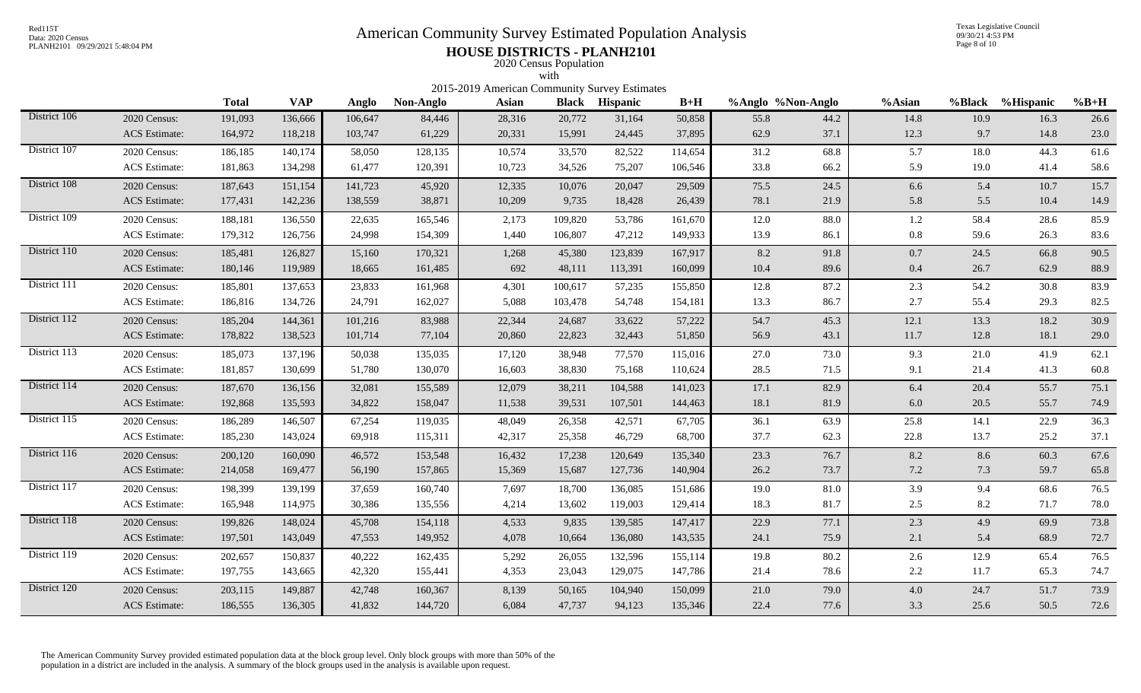# Red115T<br>Data: 2020 Census<br>PLANH2101 09/29/2021 5:48:04 PM<br>**American Community Survey Estimated Population Analysis**

Texas Legislative Council 09/30/21 4:53 PM Page 8 of 10

## PLANH2101 09/29/2021 5:48:04 PM **HOUSE DISTRICTS - PLANH2101** 2020 Census Population

|              |                      |              |            |         |           | 2015-2019 American Community Survey Estimates | with         |                 |         |                   |      |         |        |              |        |
|--------------|----------------------|--------------|------------|---------|-----------|-----------------------------------------------|--------------|-----------------|---------|-------------------|------|---------|--------|--------------|--------|
|              |                      | <b>Total</b> | <b>VAP</b> | Anglo   | Non-Anglo | <b>Asian</b>                                  | <b>Black</b> | <b>Hispanic</b> | $B+H$   | %Anglo %Non-Anglo |      | %Asian  | %Black | $%$ Hispanic | $%B+H$ |
| District 106 | 2020 Census:         | 191,093      | 136,666    | 106,647 | 84,446    | 28,316                                        | 20,772       | 31,164          | 50,858  | 55.8              | 44.2 | 14.8    | 10.9   | 16.3         | 26.6   |
|              | <b>ACS</b> Estimate: | 164,972      | 118,218    | 103,747 | 61,229    | 20,331                                        | 15,991       | 24,445          | 37,895  | 62.9              | 37.1 | 12.3    | 9.7    | 14.8         | 23.0   |
| District 107 | 2020 Census:         | 186,185      | 140,174    | 58,050  | 128,135   | 10,574                                        | 33,570       | 82,522          | 114,654 | 31.2              | 68.8 | 5.7     | 18.0   | 44.3         | 61.6   |
|              | <b>ACS</b> Estimate: | 181,863      | 134,298    | 61,477  | 120,391   | 10,723                                        | 34,526       | 75,207          | 106,546 | 33.8              | 66.2 | 5.9     | 19.0   | 41.4         | 58.6   |
| District 108 | 2020 Census:         | 187,643      | 151,154    | 141,723 | 45,920    | 12,335                                        | 10,076       | 20,047          | 29,509  | 75.5              | 24.5 | 6.6     | 5.4    | 10.7         | 15.7   |
|              | <b>ACS</b> Estimate: | 177,431      | 142,236    | 138,559 | 38,871    | 10,209                                        | 9,735        | 18,428          | 26,439  | 78.1              | 21.9 | 5.8     | 5.5    | 10.4         | 14.9   |
| District 109 | 2020 Census:         | 188,181      | 136,550    | 22,635  | 165,546   | 2,173                                         | 109,820      | 53,786          | 161,670 | 12.0              | 88.0 | 1.2     | 58.4   | 28.6         | 85.9   |
|              | <b>ACS</b> Estimate: | 179,312      | 126,756    | 24,998  | 154,309   | 1,440                                         | 106,807      | 47,212          | 149,933 | 13.9              | 86.1 | $0.8\,$ | 59.6   | 26.3         | 83.6   |
| District 110 | 2020 Census:         | 185,481      | 126,827    | 15,160  | 170,321   | 1,268                                         | 45,380       | 123,839         | 167,917 | 8.2               | 91.8 | 0.7     | 24.5   | 66.8         | 90.5   |
|              | <b>ACS</b> Estimate: | 180,146      | 119,989    | 18,665  | 161,485   | 692                                           | 48,111       | 113,391         | 160,099 | 10.4              | 89.6 | 0.4     | 26.7   | 62.9         | 88.9   |
| District 111 | 2020 Census:         | 185,801      | 137,653    | 23,833  | 161,968   | 4,301                                         | 100,617      | 57,235          | 155,850 | 12.8              | 87.2 | 2.3     | 54.2   | 30.8         | 83.9   |
|              | <b>ACS</b> Estimate: | 186,816      | 134,726    | 24,791  | 162,027   | 5,088                                         | 103,478      | 54,748          | 154,181 | 13.3              | 86.7 | 2.7     | 55.4   | 29.3         | 82.5   |
| District 112 | 2020 Census:         | 185,204      | 144,361    | 101,216 | 83,988    | 22,344                                        | 24,687       | 33,622          | 57,222  | 54.7              | 45.3 | 12.1    | 13.3   | 18.2         | 30.9   |
|              | <b>ACS</b> Estimate: | 178,822      | 138,523    | 101,714 | 77,104    | 20,860                                        | 22,823       | 32,443          | 51,850  | 56.9              | 43.1 | 11.7    | 12.8   | 18.1         | 29.0   |
| District 113 | 2020 Census:         | 185,073      | 137,196    | 50,038  | 135,035   | 17,120                                        | 38,948       | 77,570          | 115,016 | 27.0              | 73.0 | 9.3     | 21.0   | 41.9         | 62.1   |
|              | <b>ACS</b> Estimate: | 181,857      | 130,699    | 51,780  | 130,070   | 16,603                                        | 38,830       | 75,168          | 110,624 | 28.5              | 71.5 | 9.1     | 21.4   | 41.3         | 60.8   |
| District 114 | 2020 Census:         | 187,670      | 136,156    | 32,081  | 155,589   | 12,079                                        | 38,211       | 104,588         | 141,023 | 17.1              | 82.9 | 6.4     | 20.4   | 55.7         | 75.1   |
|              | <b>ACS</b> Estimate: | 192,868      | 135,593    | 34,822  | 158,047   | 11,538                                        | 39,531       | 107,501         | 144,463 | 18.1              | 81.9 | 6.0     | 20.5   | 55.7         | 74.9   |
| District 115 | 2020 Census:         | 186,289      | 146,507    | 67,254  | 119,035   | 48,049                                        | 26,358       | 42,571          | 67,705  | 36.1              | 63.9 | 25.8    | 14.1   | 22.9         | 36.3   |
|              | <b>ACS</b> Estimate: | 185,230      | 143,024    | 69,918  | 115,311   | 42,317                                        | 25,358       | 46,729          | 68,700  | 37.7              | 62.3 | 22.8    | 13.7   | 25.2         | 37.1   |
| District 116 | 2020 Census:         | 200,120      | 160,090    | 46,572  | 153,548   | 16,432                                        | 17,238       | 120,649         | 135,340 | 23.3              | 76.7 | 8.2     | 8.6    | 60.3         | 67.6   |
|              | <b>ACS</b> Estimate: | 214,058      | 169,477    | 56,190  | 157,865   | 15,369                                        | 15,687       | 127,736         | 140,904 | 26.2              | 73.7 | 7.2     | 7.3    | 59.7         | 65.8   |
| District 117 | 2020 Census:         | 198,399      | 139,199    | 37,659  | 160,740   | 7,697                                         | 18,700       | 136,085         | 151,686 | 19.0              | 81.0 | 3.9     | 9.4    | 68.6         | 76.5   |
|              | <b>ACS</b> Estimate: | 165,948      | 114,975    | 30,386  | 135,556   | 4,214                                         | 13,602       | 119,003         | 129,414 | 18.3              | 81.7 | 2.5     | 8.2    | 71.7         | 78.0   |
| District 118 | 2020 Census:         | 199,826      | 148,024    | 45,708  | 154,118   | 4,533                                         | 9,835        | 139,585         | 147,417 | 22.9              | 77.1 | 2.3     | 4.9    | 69.9         | 73.8   |
|              | <b>ACS</b> Estimate: | 197,501      | 143,049    | 47,553  | 149,952   | 4,078                                         | 10,664       | 136,080         | 143,535 | 24.1              | 75.9 | 2.1     | 5.4    | 68.9         | 72.7   |
| District 119 | 2020 Census:         | 202,657      | 150,837    | 40,222  | 162,435   | 5,292                                         | 26,055       | 132,596         | 155,114 | 19.8              | 80.2 | 2.6     | 12.9   | 65.4         | 76.5   |
|              | <b>ACS</b> Estimate: | 197,755      | 143,665    | 42,320  | 155,441   | 4,353                                         | 23,043       | 129,075         | 147,786 | 21.4              | 78.6 | 2.2     | 11.7   | 65.3         | 74.7   |
| District 120 | 2020 Census:         | 203,115      | 149,887    | 42,748  | 160,367   | 8,139                                         | 50,165       | 104,940         | 150,099 | 21.0              | 79.0 | 4.0     | 24.7   | 51.7         | 73.9   |
|              | <b>ACS</b> Estimate: | 186,555      | 136,305    | 41,832  | 144,720   | 6,084                                         | 47,737       | 94,123          | 135,346 | 22.4              | 77.6 | 3.3     | 25.6   | 50.5         | 72.6   |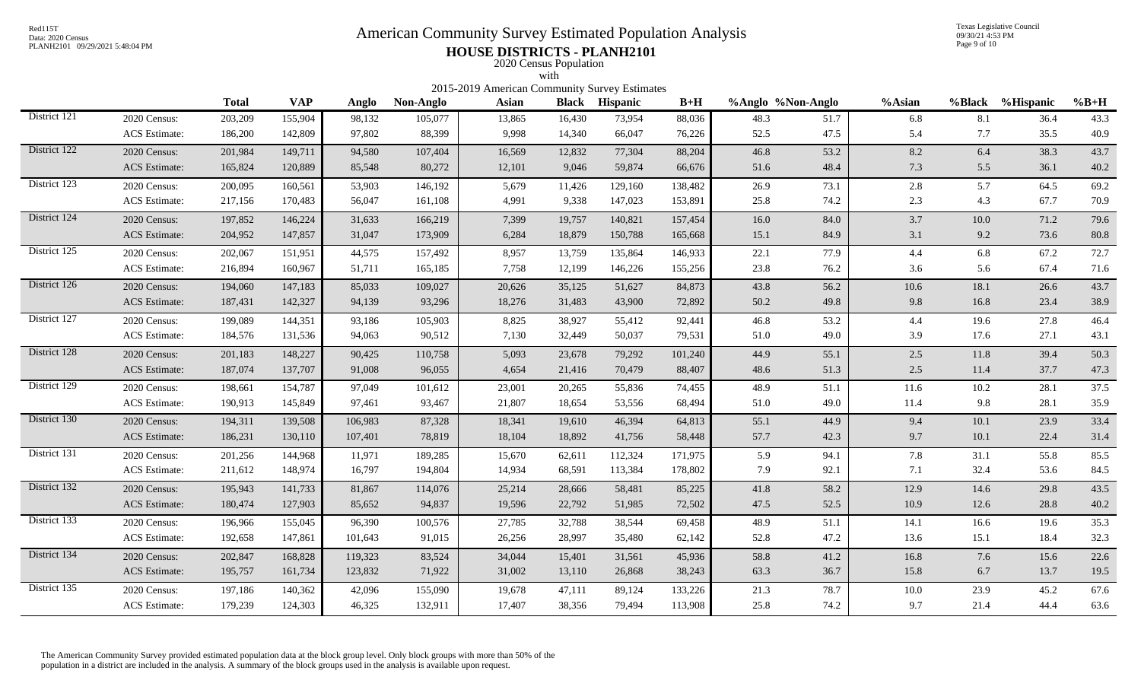# Red115T<br>Data: 2020 Census<br>PLANH2101 09/29/2021 5:48:04 PM<br>**American Community Survey Estimated Population Analysis**

Texas Legislative Council 09/30/21 4:53 PM Page 9 of 10

## PLANH2101 09/29/2021 5:48:04 PM **HOUSE DISTRICTS - PLANH2101** 2020 Census Population

|              |                      |                                                                                                                                                                                                                                                                                                                                                     |         |         |         |        | with   |         |         |      |      |         |          |      |      |
|--------------|----------------------|-----------------------------------------------------------------------------------------------------------------------------------------------------------------------------------------------------------------------------------------------------------------------------------------------------------------------------------------------------|---------|---------|---------|--------|--------|---------|---------|------|------|---------|----------|------|------|
|              |                      | 2015-2019 American Community Survey Estimates<br><b>VAP</b><br>$B+H$<br>%Black %Hispanic<br><b>Total</b><br><b>Black</b><br>%Anglo %Non-Anglo<br>%Asian<br>$%B+H$<br>Anglo<br>Non-Anglo<br><b>Asian</b><br><b>Hispanic</b><br>13,865<br>73,954<br>36.4<br>203,209<br>155,904<br>98,132<br>105,077<br>16,430<br>88,036<br>48.3<br>51.7<br>6.8<br>8.1 |         |         |         |        |        |         |         |      |      |         |          |      |      |
| District 121 | 2020 Census:         |                                                                                                                                                                                                                                                                                                                                                     |         |         |         |        |        |         |         |      |      |         |          |      | 43.3 |
|              | <b>ACS</b> Estimate: | 186,200                                                                                                                                                                                                                                                                                                                                             | 142,809 | 97,802  | 88,399  | 9,998  | 14,340 | 66,047  | 76,226  | 52.5 | 47.5 | 5.4     | 7.7      | 35.5 | 40.9 |
| District 122 | 2020 Census:         | 201,984                                                                                                                                                                                                                                                                                                                                             | 149,711 | 94,580  | 107,404 | 16,569 | 12,832 | 77,304  | 88,204  | 46.8 | 53.2 | 8.2     | 6.4      | 38.3 | 43.7 |
|              | <b>ACS</b> Estimate: | 165,824                                                                                                                                                                                                                                                                                                                                             | 120,889 | 85,548  | 80,272  | 12,101 | 9,046  | 59,874  | 66,676  | 51.6 | 48.4 | 7.3     | 5.5      | 36.1 | 40.2 |
| District 123 | 2020 Census:         | 200,095                                                                                                                                                                                                                                                                                                                                             | 160,561 | 53,903  | 146,192 | 5,679  | 11,426 | 129,160 | 138,482 | 26.9 | 73.1 | 2.8     | 5.7      | 64.5 | 69.2 |
|              | ACS Estimate:        | 217,156                                                                                                                                                                                                                                                                                                                                             | 170,483 | 56,047  | 161,108 | 4,991  | 9,338  | 147,023 | 153,891 | 25.8 | 74.2 | 2.3     | 4.3      | 67.7 | 70.9 |
| District 124 | 2020 Census:         | 197,852                                                                                                                                                                                                                                                                                                                                             | 146,224 | 31,633  | 166,219 | 7,399  | 19,757 | 140,821 | 157,454 | 16.0 | 84.0 | 3.7     | $10.0\,$ | 71.2 | 79.6 |
|              | <b>ACS</b> Estimate: | 204,952                                                                                                                                                                                                                                                                                                                                             | 147,857 | 31,047  | 173,909 | 6,284  | 18,879 | 150,788 | 165,668 | 15.1 | 84.9 | 3.1     | 9.2      | 73.6 | 80.8 |
| District 125 | 2020 Census:         | 202,067                                                                                                                                                                                                                                                                                                                                             | 151,951 | 44,575  | 157,492 | 8,957  | 13,759 | 135,864 | 146,933 | 22.1 | 77.9 | 4.4     | 6.8      | 67.2 | 72.7 |
|              | <b>ACS</b> Estimate: | 216,894                                                                                                                                                                                                                                                                                                                                             | 160,967 | 51,711  | 165,185 | 7,758  | 12,199 | 146,226 | 155,256 | 23.8 | 76.2 | 3.6     | 5.6      | 67.4 | 71.6 |
| District 126 | 2020 Census:         | 194,060                                                                                                                                                                                                                                                                                                                                             | 147,183 | 85,033  | 109,027 | 20,626 | 35,125 | 51,627  | 84,873  | 43.8 | 56.2 | 10.6    | 18.1     | 26.6 | 43.7 |
|              | <b>ACS</b> Estimate: | 187,431                                                                                                                                                                                                                                                                                                                                             | 142,327 | 94,139  | 93,296  | 18,276 | 31,483 | 43,900  | 72,892  | 50.2 | 49.8 | 9.8     | 16.8     | 23.4 | 38.9 |
| District 127 | 2020 Census:         | 199,089                                                                                                                                                                                                                                                                                                                                             | 144,351 | 93,186  | 105,903 | 8,825  | 38,927 | 55,412  | 92,441  | 46.8 | 53.2 | 4.4     | 19.6     | 27.8 | 46.4 |
|              | <b>ACS</b> Estimate: | 184,576                                                                                                                                                                                                                                                                                                                                             | 131,536 | 94,063  | 90,512  | 7,130  | 32,449 | 50,037  | 79,531  | 51.0 | 49.0 | 3.9     | 17.6     | 27.1 | 43.1 |
| District 128 | 2020 Census:         | 201,183                                                                                                                                                                                                                                                                                                                                             | 148,227 | 90,425  | 110,758 | 5,093  | 23,678 | 79,292  | 101,240 | 44.9 | 55.1 | 2.5     | 11.8     | 39.4 | 50.3 |
|              | <b>ACS</b> Estimate: | 187,074                                                                                                                                                                                                                                                                                                                                             | 137,707 | 91,008  | 96,055  | 4,654  | 21,416 | 70,479  | 88,407  | 48.6 | 51.3 | $2.5\,$ | 11.4     | 37.7 | 47.3 |
| District 129 | 2020 Census:         | 198,661                                                                                                                                                                                                                                                                                                                                             | 154,787 | 97,049  | 101,612 | 23,001 | 20,265 | 55,836  | 74,455  | 48.9 | 51.1 | 11.6    | 10.2     | 28.1 | 37.5 |
|              | <b>ACS</b> Estimate: | 190,913                                                                                                                                                                                                                                                                                                                                             | 145,849 | 97,461  | 93,467  | 21,807 | 18,654 | 53,556  | 68,494  | 51.0 | 49.0 | 11.4    | 9.8      | 28.1 | 35.9 |
| District 130 | 2020 Census:         | 194,311                                                                                                                                                                                                                                                                                                                                             | 139,508 | 106,983 | 87,328  | 18,341 | 19,610 | 46,394  | 64,813  | 55.1 | 44.9 | 9.4     | 10.1     | 23.9 | 33.4 |
|              | <b>ACS</b> Estimate: | 186,231                                                                                                                                                                                                                                                                                                                                             | 130,110 | 107,401 | 78,819  | 18,104 | 18,892 | 41,756  | 58,448  | 57.7 | 42.3 | 9.7     | 10.1     | 22.4 | 31.4 |
| District 131 | 2020 Census:         | 201,256                                                                                                                                                                                                                                                                                                                                             | 144,968 | 11,971  | 189,285 | 15,670 | 62,611 | 112,324 | 171,975 | 5.9  | 94.1 | 7.8     | 31.1     | 55.8 | 85.5 |
|              | <b>ACS</b> Estimate: | 211,612                                                                                                                                                                                                                                                                                                                                             | 148,974 | 16,797  | 194,804 | 14,934 | 68,591 | 113,384 | 178,802 | 7.9  | 92.1 | 7.1     | 32.4     | 53.6 | 84.5 |
| District 132 | 2020 Census:         | 195,943                                                                                                                                                                                                                                                                                                                                             | 141,733 | 81,867  | 114,076 | 25,214 | 28,666 | 58,481  | 85,225  | 41.8 | 58.2 | 12.9    | 14.6     | 29.8 | 43.5 |
|              | <b>ACS</b> Estimate: | 180,474                                                                                                                                                                                                                                                                                                                                             | 127,903 | 85,652  | 94,837  | 19,596 | 22,792 | 51,985  | 72,502  | 47.5 | 52.5 | 10.9    | 12.6     | 28.8 | 40.2 |
| District 133 | 2020 Census:         | 196,966                                                                                                                                                                                                                                                                                                                                             | 155,045 | 96,390  | 100,576 | 27,785 | 32,788 | 38,544  | 69,458  | 48.9 | 51.1 | 14.1    | 16.6     | 19.6 | 35.3 |
|              | <b>ACS</b> Estimate: | 192,658                                                                                                                                                                                                                                                                                                                                             | 147,861 | 101,643 | 91,015  | 26,256 | 28,997 | 35,480  | 62,142  | 52.8 | 47.2 | 13.6    | 15.1     | 18.4 | 32.3 |
| District 134 | 2020 Census:         | 202,847                                                                                                                                                                                                                                                                                                                                             | 168,828 | 119,323 | 83,524  | 34,044 | 15,401 | 31,561  | 45,936  | 58.8 | 41.2 | 16.8    | 7.6      | 15.6 | 22.6 |
|              | <b>ACS</b> Estimate: | 195,757                                                                                                                                                                                                                                                                                                                                             | 161,734 | 123,832 | 71,922  | 31,002 | 13,110 | 26,868  | 38,243  | 63.3 | 36.7 | 15.8    | 6.7      | 13.7 | 19.5 |
| District 135 | 2020 Census:         | 197,186                                                                                                                                                                                                                                                                                                                                             | 140,362 | 42,096  | 155,090 | 19,678 | 47,111 | 89,124  | 133,226 | 21.3 | 78.7 | 10.0    | 23.9     | 45.2 | 67.6 |
|              | <b>ACS</b> Estimate: | 179,239                                                                                                                                                                                                                                                                                                                                             | 124,303 | 46,325  | 132,911 | 17,407 | 38,356 | 79,494  | 113,908 | 25.8 | 74.2 | 9.7     | 21.4     | 44.4 | 63.6 |